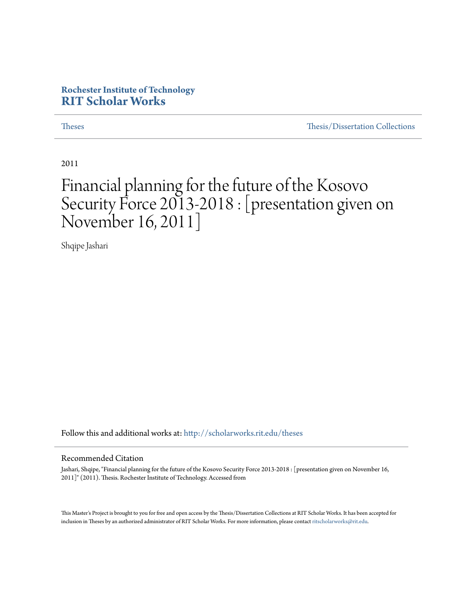# **Rochester Institute of Technology [RIT Scholar Works](http://scholarworks.rit.edu?utm_source=scholarworks.rit.edu%2Ftheses%2F6967&utm_medium=PDF&utm_campaign=PDFCoverPages)**

[Theses](http://scholarworks.rit.edu/theses?utm_source=scholarworks.rit.edu%2Ftheses%2F6967&utm_medium=PDF&utm_campaign=PDFCoverPages) [Thesis/Dissertation Collections](http://scholarworks.rit.edu/etd_collections?utm_source=scholarworks.rit.edu%2Ftheses%2F6967&utm_medium=PDF&utm_campaign=PDFCoverPages)

2011

# Financial planning for the future of the Kosovo Security Force 2013-2018 : [presentation given on November 16, 2011]

Shqipe Jashari

Follow this and additional works at: [http://scholarworks.rit.edu/theses](http://scholarworks.rit.edu/theses?utm_source=scholarworks.rit.edu%2Ftheses%2F6967&utm_medium=PDF&utm_campaign=PDFCoverPages)

#### Recommended Citation

Jashari, Shqipe, "Financial planning for the future of the Kosovo Security Force 2013-2018 : [presentation given on November 16, 2011]" (2011). Thesis. Rochester Institute of Technology. Accessed from

This Master's Project is brought to you for free and open access by the Thesis/Dissertation Collections at RIT Scholar Works. It has been accepted for inclusion in Theses by an authorized administrator of RIT Scholar Works. For more information, please contact [ritscholarworks@rit.edu](mailto:ritscholarworks@rit.edu).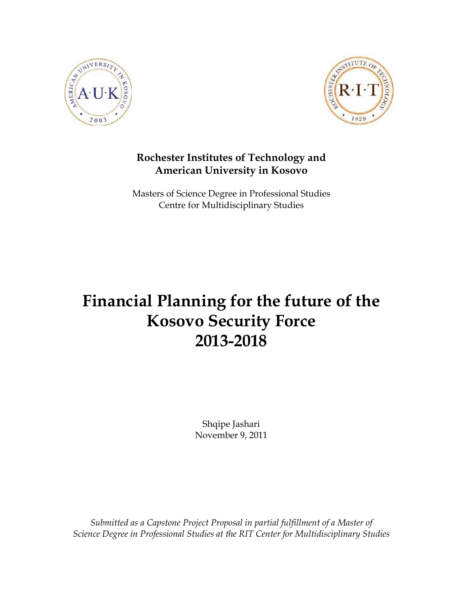



# **Rochester Institutes of Technology and American University in Kosovo**

Masters of Science Degree in Professional Studies Centre for Multidisciplinary Studies

# **Financial Planning for the future of the Kosovo Security Force 2013-2018**

Shqipe Jashari November 9, 2011

*Submitted as a Capstone Project Proposal in partial fulfillment of a Master of Science Degree in Professional Studies at the RIT Center for Multidisciplinary Studies*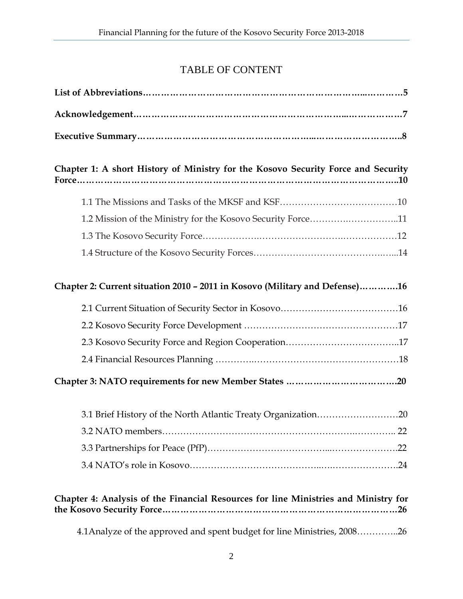# TABLE OF CONTENT

| Chapter 1: A short History of Ministry for the Kosovo Security Force and Security   |
|-------------------------------------------------------------------------------------|
|                                                                                     |
| 1.2 Mission of the Ministry for the Kosovo Security Force11                         |
|                                                                                     |
|                                                                                     |
| Chapter 2: Current situation 2010 - 2011 in Kosovo (Military and Defense)16         |
|                                                                                     |
|                                                                                     |
|                                                                                     |
|                                                                                     |
|                                                                                     |
| 3.1 Brief History of the North Atlantic Treaty Organization20                       |
|                                                                                     |
|                                                                                     |
|                                                                                     |
| Chapter 4: Analysis of the Financial Resources for line Ministries and Ministry for |
| 4.1 Analyze of the approved and spent budget for line Ministries, 200826            |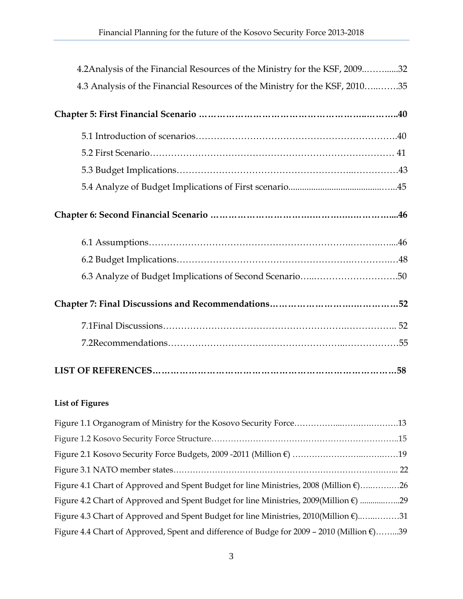| 4.2 Analysis of the Financial Resources of the Ministry for the KSF, 200932 |
|-----------------------------------------------------------------------------|
| 4.3 Analysis of the Financial Resources of the Ministry for the KSF, 201035 |
|                                                                             |
|                                                                             |
|                                                                             |
|                                                                             |
|                                                                             |
|                                                                             |
|                                                                             |
|                                                                             |
|                                                                             |
|                                                                             |
|                                                                             |
|                                                                             |
|                                                                             |

#### **List of Figures**

| Figure 4.1 Chart of Approved and Spent Budget for line Ministries, 2008 (Million $\epsilon$ )26     |  |
|-----------------------------------------------------------------------------------------------------|--|
| Figure 4.2 Chart of Approved and Spent Budget for line Ministries, 2009(Million €) 29               |  |
| Figure 4.3 Chart of Approved and Spent Budget for line Ministries, 2010(Million €)31                |  |
| Figure 4.4 Chart of Approved, Spent and difference of Budge for 2009 - 2010 (Million $\epsilon$ )39 |  |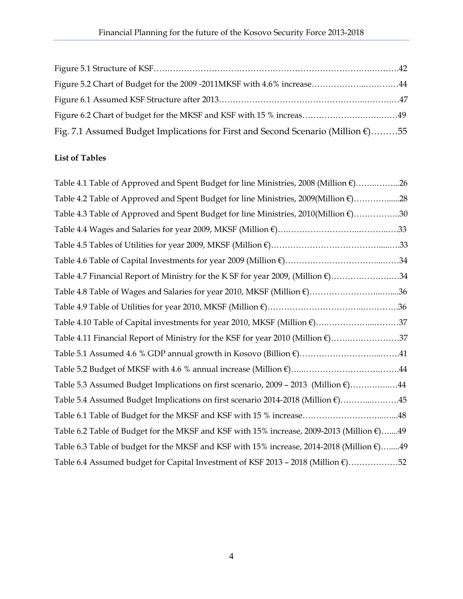| Fig. 7.1 Assumed Budget Implications for First and Second Scenario (Million $\epsilon$ )55 |  |
|--------------------------------------------------------------------------------------------|--|

#### **List of Tables**

| Table 4.1 Table of Approved and Spent Budget for line Ministries, 2008 (Million €)26                |
|-----------------------------------------------------------------------------------------------------|
| Table 4.2 Table of Approved and Spent Budget for line Ministries, 2009(Million €)28                 |
| Table 4.3 Table of Approved and Spent Budget for line Ministries, 2010(Million €)30                 |
|                                                                                                     |
|                                                                                                     |
|                                                                                                     |
| Table 4.7 Financial Report of Ministry for the K SF for year 2009, (Million €)34                    |
| Table 4.8 Table of Wages and Salaries for year 2010, MKSF (Million €)36                             |
|                                                                                                     |
| Table 4.10 Table of Capital investments for year 2010, MKSF (Million €)37                           |
| Table 4.11 Financial Report of Ministry for the KSF for year 2010 (Million €)37                     |
|                                                                                                     |
|                                                                                                     |
| Table 5.3 Assumed Budget Implications on first scenario, 2009 - 2013 (Million $\epsilon$ )44        |
| Table 5.4 Assumed Budget Implications on first scenario 2014-2018 (Million €)45                     |
|                                                                                                     |
| Table 6.2 Table of Budget for the MKSF and KSF with 15% increase, 2009-2013 (Million $\epsilon$ )49 |
| Table 6.3 Table of budget for the MKSF and KSF with 15% increase, 2014-2018 (Million €)49           |
| Table 6.4 Assumed budget for Capital Investment of KSF 2013 - 2018 (Million €)52                    |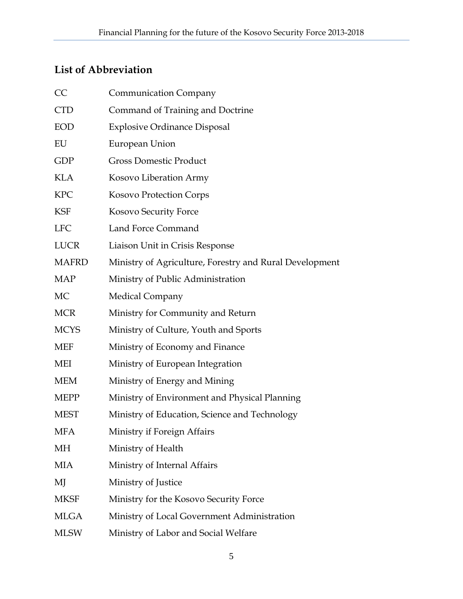# **List of Abbreviation**

| CC           | <b>Communication Company</b>                            |
|--------------|---------------------------------------------------------|
| <b>CTD</b>   | Command of Training and Doctrine                        |
| <b>EOD</b>   | <b>Explosive Ordinance Disposal</b>                     |
| EU           | European Union                                          |
| <b>GDP</b>   | <b>Gross Domestic Product</b>                           |
| <b>KLA</b>   | Kosovo Liberation Army                                  |
| <b>KPC</b>   | <b>Kosovo Protection Corps</b>                          |
| <b>KSF</b>   | Kosovo Security Force                                   |
| <b>LFC</b>   | Land Force Command                                      |
| <b>LUCR</b>  | Liaison Unit in Crisis Response                         |
| <b>MAFRD</b> | Ministry of Agriculture, Forestry and Rural Development |
| <b>MAP</b>   | Ministry of Public Administration                       |
| MC           | <b>Medical Company</b>                                  |
| <b>MCR</b>   | Ministry for Community and Return                       |
| <b>MCYS</b>  | Ministry of Culture, Youth and Sports                   |
| MEF          | Ministry of Economy and Finance                         |
| <b>MEI</b>   | Ministry of European Integration                        |
| MEM          | Ministry of Energy and Mining                           |
| <b>MEPP</b>  | Ministry of Environment and Physical Planning           |
| <b>MEST</b>  | Ministry of Education, Science and Technology           |
| MFA          | Ministry if Foreign Affairs                             |
| МH           | Ministry of Health                                      |
| MIA          | Ministry of Internal Affairs                            |
| MJ           | Ministry of Justice                                     |
| <b>MKSF</b>  | Ministry for the Kosovo Security Force                  |
| <b>MLGA</b>  | Ministry of Local Government Administration             |
| <b>MLSW</b>  | Ministry of Labor and Social Welfare                    |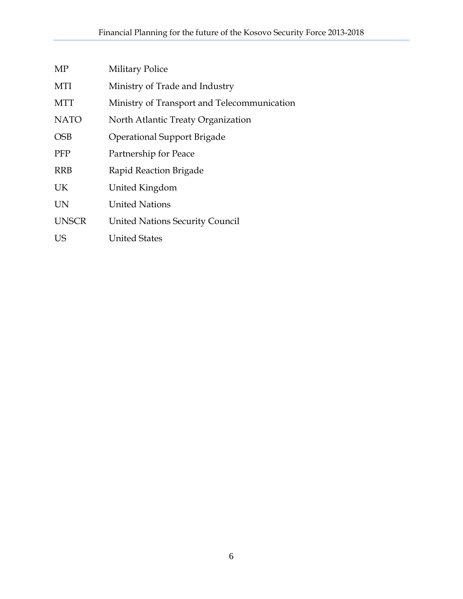| MP           | <b>Military Police</b>                      |
|--------------|---------------------------------------------|
| MTI          | Ministry of Trade and Industry              |
| <b>MTT</b>   | Ministry of Transport and Telecommunication |
| <b>NATO</b>  | North Atlantic Treaty Organization          |
| <b>OSB</b>   | <b>Operational Support Brigade</b>          |
| <b>PFP</b>   | Partnership for Peace                       |
| <b>RRB</b>   | Rapid Reaction Brigade                      |
| <b>UK</b>    | United Kingdom                              |
| <b>UN</b>    | <b>United Nations</b>                       |
| <b>UNSCR</b> | <b>United Nations Security Council</b>      |
| US           | <b>United States</b>                        |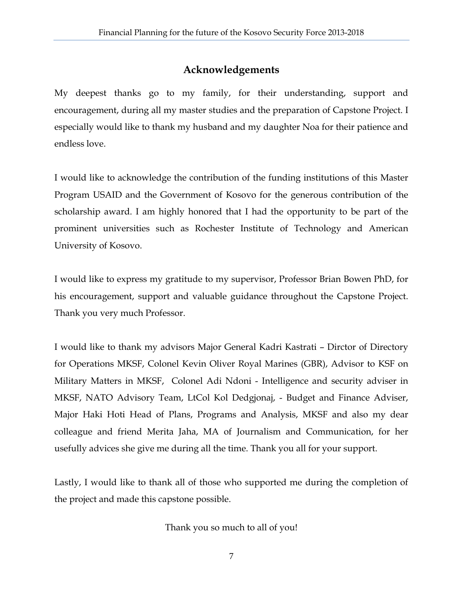# **Acknowledgements**

My deepest thanks go to my family, for their understanding, support and encouragement, during all my master studies and the preparation of Capstone Project. I especially would like to thank my husband and my daughter Noa for their patience and endless love.

I would like to acknowledge the contribution of the funding institutions of this Master Program USAID and the Government of Kosovo for the generous contribution of the scholarship award. I am highly honored that I had the opportunity to be part of the prominent universities such as Rochester Institute of Technology and American University of Kosovo.

I would like to express my gratitude to my supervisor, Professor Brian Bowen PhD, for his encouragement, support and valuable guidance throughout the Capstone Project. Thank you very much Professor.

I would like to thank my advisors Major General Kadri Kastrati – Dirctor of Directory for Operations MKSF, Colonel Kevin Oliver Royal Marines (GBR), Advisor to KSF on Military Matters in MKSF, Colonel Adi Ndoni - Intelligence and security adviser in MKSF, NATO Advisory Team, LtCol Kol Dedgjonaj, - Budget and Finance Adviser, Major Haki Hoti Head of Plans, Programs and Analysis, MKSF and also my dear colleague and friend Merita Jaha, MA of Journalism and Communication, for her usefully advices she give me during all the time. Thank you all for your support.

Lastly, I would like to thank all of those who supported me during the completion of the project and made this capstone possible.

Thank you so much to all of you!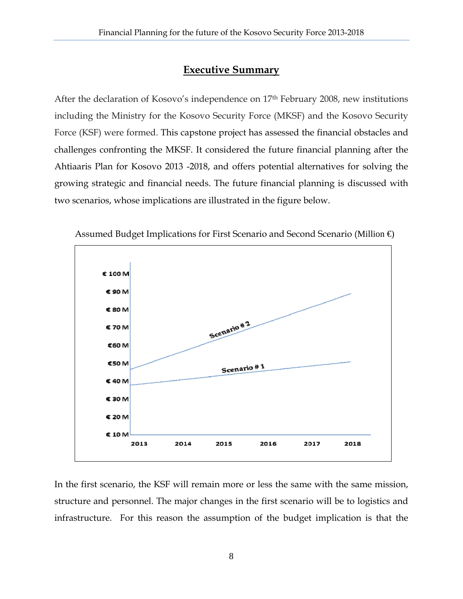#### **Executive Summary**

After the declaration of Kosovo's independence on 17th February 2008, new institutions including the Ministry for the Kosovo Security Force (MKSF) and the Kosovo Security Force (KSF) were formed. This capstone project has assessed the financial obstacles and challenges confronting the MKSF. It considered the future financial planning after the Ahtiaaris Plan for Kosovo 2013 -2018, and offers potential alternatives for solving the growing strategic and financial needs. The future financial planning is discussed with two scenarios, whose implications are illustrated in the figure below.



Assumed Budget Implications for First Scenario and Second Scenario (Million €)

In the first scenario, the KSF will remain more or less the same with the same mission, structure and personnel. The major changes in the first scenario will be to logistics and infrastructure. For this reason the assumption of the budget implication is that the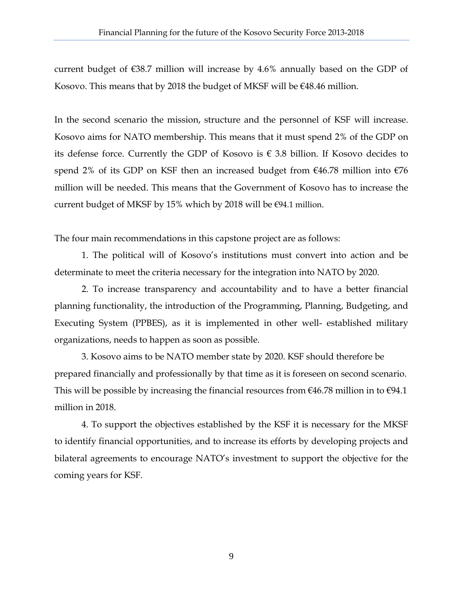current budget of  $\epsilon$ 38.7 million will increase by 4.6% annually based on the GDP of Kosovo. This means that by 2018 the budget of MKSF will be  $€48.46$  million.

In the second scenario the mission, structure and the personnel of KSF will increase. Kosovo aims for NATO membership. This means that it must spend 2% of the GDP on its defense force. Currently the GDP of Kosovo is  $\epsilon$  3.8 billion. If Kosovo decides to spend 2% of its GDP on KSF then an increased budget from  $\epsilon$ 46.78 million into  $\epsilon$ 76 million will be needed. This means that the Government of Kosovo has to increase the current budget of MKSF by 15% which by 2018 will be  $\epsilon$ 94.1 million.

The four main recommendations in this capstone project are as follows:

1. The political will of Kosovo's institutions must convert into action and be determinate to meet the criteria necessary for the integration into NATO by 2020.

2. To increase transparency and accountability and to have a better financial planning functionality, the introduction of the Programming, Planning, Budgeting, and Executing System (PPBES), as it is implemented in other well- established military organizations, needs to happen as soon as possible.

3. Kosovo aims to be NATO member state by 2020. KSF should therefore be prepared financially and professionally by that time as it is foreseen on second scenario. This will be possible by increasing the financial resources from  $\epsilon$ 46.78 million in to  $\epsilon$ 94.1 million in 2018.

4. To support the objectives established by the KSF it is necessary for the MKSF to identify financial opportunities, and to increase its efforts by developing projects and bilateral agreements to encourage NATO's investment to support the objective for the coming years for KSF.

9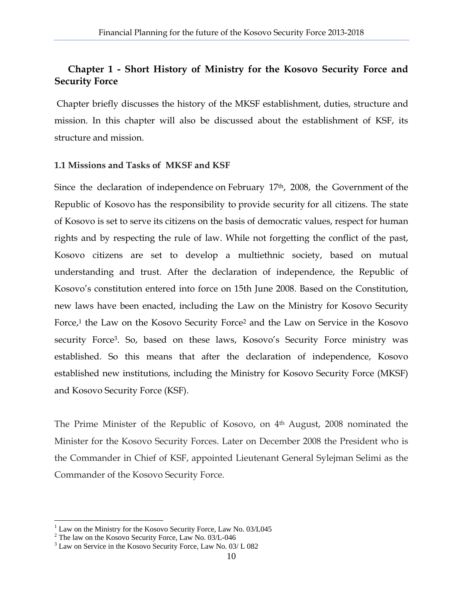# **Chapter 1 - Short History of Ministry for the Kosovo Security Force and Security Force**

 Chapter briefly discusses the history of the MKSF establishment, duties, structure and mission. In this chapter will also be discussed about the establishment of KSF, its structure and mission.

#### **1.1 Missions and Tasks of MKSF and KSF**

Since the declaration of independence on February 17<sup>th</sup>, 2008, the Government of the Republic of Kosovo has the responsibility to provide security for all citizens. The state of Kosovo is set to serve its citizens on the basis of democratic values, respect for human rights and by respecting the rule of law. While not forgetting the conflict of the past, Kosovo citizens are set to develop a multiethnic society, based on mutual understanding and trust. After the declaration of independence, the Republic of Kosovo's constitution entered into force on 15th June 2008. Based on the Constitution, new laws have been enacted, including the Law on the Ministry for Kosovo Security Force,<sup>1</sup> the Law on the Kosovo Security Force<sup>2</sup> and the Law on Service in the Kosovo security Force3. So, based on these laws, Kosovo's Security Force ministry was established. So this means that after the declaration of independence, Kosovo established new institutions, including the Ministry for Kosovo Security Force (MKSF) and Kosovo Security Force (KSF).

The Prime Minister of the Republic of Kosovo, on 4th August, 2008 nominated the Minister for the Kosovo Security Forces. Later on December 2008 the President who is the Commander in Chief of KSF, appointed Lieutenant General Sylejman Selimi as the Commander of the Kosovo Security Force.

1

<sup>&</sup>lt;sup>1</sup> Law on the Ministry for the Kosovo Security Force, Law No. 03/L045

<sup>&</sup>lt;sup>2</sup> The law on the Kosovo Security Force, Law No. 03/L-046

<sup>3</sup> Law on Service in the Kosovo Security Force, Law No. 03/ L 082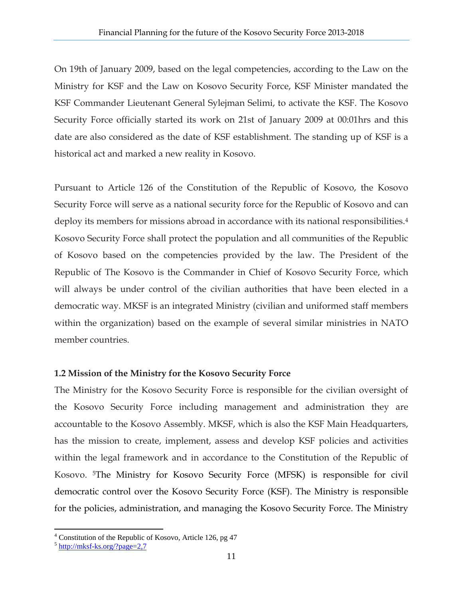On 19th of January 2009, based on the legal competencies, according to the Law on the Ministry for KSF and the Law on Kosovo Security Force, KSF Minister mandated the KSF Commander Lieutenant General Sylejman Selimi, to activate the KSF. The Kosovo Security Force officially started its work on 21st of January 2009 at 00:01hrs and this date are also considered as the date of KSF establishment. The standing up of KSF is a historical act and marked a new reality in Kosovo.

Pursuant to Article 126 of the Constitution of the Republic of Kosovo, the Kosovo Security Force will serve as a national security force for the Republic of Kosovo and can deploy its members for missions abroad in accordance with its national responsibilities.<sup>4</sup> Kosovo Security Force shall protect the population and all communities of the Republic of Kosovo based on the competencies provided by the law. The President of the Republic of The Kosovo is the Commander in Chief of Kosovo Security Force, which will always be under control of the civilian authorities that have been elected in a democratic way. MKSF is an integrated Ministry (civilian and uniformed staff members within the organization) based on the example of several similar ministries in NATO member countries.

#### **1.2 Mission of the Ministry for the Kosovo Security Force**

The Ministry for the Kosovo Security Force is responsible for the civilian oversight of the Kosovo Security Force including management and administration they are accountable to the Kosovo Assembly. MKSF, which is also the KSF Main Headquarters, has the mission to create, implement, assess and develop KSF policies and activities within the legal framework and in accordance to the Constitution of the Republic of Kosovo. 5The Ministry for Kosovo Security Force (MFSK) is responsible for civil democratic control over the Kosovo Security Force (KSF). The Ministry is responsible for the policies, administration, and managing the Kosovo Security Force. The Ministry

 $\overline{a}$ <sup>4</sup> Constitution of the Republic of Kosovo, Article 126, pg 47

<sup>5</sup> http://mksf-ks.org/?page=2,7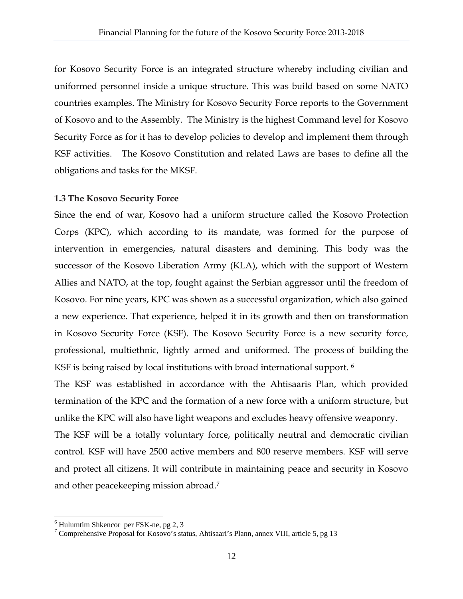for Kosovo Security Force is an integrated structure whereby including civilian and uniformed personnel inside a unique structure. This was build based on some NATO countries examples. The Ministry for Kosovo Security Force reports to the Government of Kosovo and to the Assembly. The Ministry is the highest Command level for Kosovo Security Force as for it has to develop policies to develop and implement them through KSF activities. The Kosovo Constitution and related Laws are bases to define all the obligations and tasks for the MKSF.

#### **1.3 The Kosovo Security Force**

Since the end of war, Kosovo had a uniform structure called the Kosovo Protection Corps (KPC), which according to its mandate, was formed for the purpose of intervention in emergencies, natural disasters and demining. This body was the successor of the Kosovo Liberation Army (KLA), which with the support of Western Allies and NATO, at the top, fought against the Serbian aggressor until the freedom of Kosovo. For nine years, KPC was shown as a successful organization, which also gained a new experience. That experience, helped it in its growth and then on transformation in Kosovo Security Force (KSF). The Kosovo Security Force is a new security force, professional, multiethnic, lightly armed and uniformed. The process of building the KSF is being raised by local institutions with broad international support.<sup>6</sup>

The KSF was established in accordance with the Ahtisaaris Plan, which provided termination of the KPC and the formation of a new force with a uniform structure, but unlike the KPC will also have light weapons and excludes heavy offensive weaponry.

The KSF will be a totally voluntary force, politically neutral and democratic civilian control. KSF will have 2500 active members and 800 reserve members. KSF will serve and protect all citizens. It will contribute in maintaining peace and security in Kosovo and other peacekeeping mission abroad.7

1

<sup>6</sup> Hulumtim Shkencor per FSK-ne, pg 2, 3

<sup>&</sup>lt;sup>7</sup> Comprehensive Proposal for Kosovo's status, Ahtisaari's Plann, annex VIII, article 5, pg 13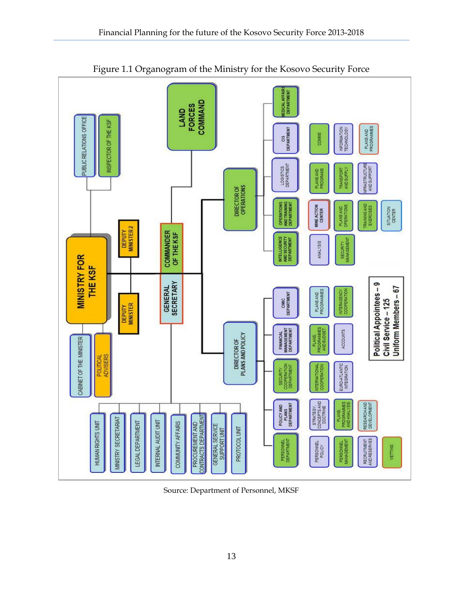

Source: Department of Personnel, MKSF

PROTOCOL UNIT

PERSONNEL<br>DEPARTMENT

RECRUITMENT<br>AND RESERVES

VETTING

PERSONNEL<br>MANAGEMENT

PERSONNEL

GENERAL SERVICE<br>SUPPORT UNIT

LEGAL DEPARTMENT

HUMAN RIGHTS UNIT

INTERNAL AUDIT UNIT

COMMUNITY AFFAIRS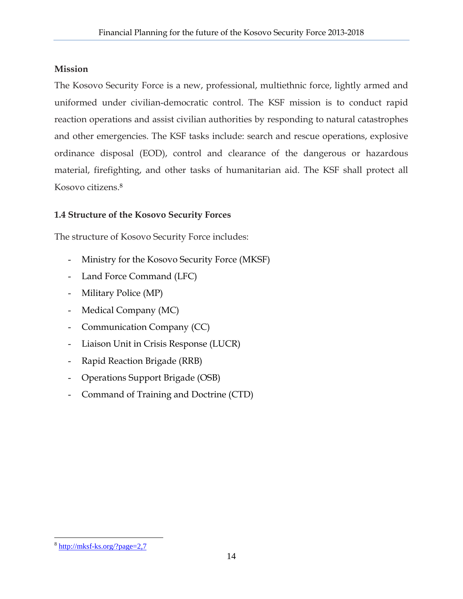#### **Mission**

The Kosovo Security Force is a new, professional, multiethnic force, lightly armed and uniformed under civilian-democratic control. The KSF mission is to conduct rapid reaction operations and assist civilian authorities by responding to natural catastrophes and other emergencies. The KSF tasks include: search and rescue operations, explosive ordinance disposal (EOD), control and clearance of the dangerous or hazardous material, firefighting, and other tasks of humanitarian aid. The KSF shall protect all Kosovo citizens.8

# **1.4 Structure of the Kosovo Security Forces**

The structure of Kosovo Security Force includes:

- Ministry for the Kosovo Security Force (MKSF)
- Land Force Command (LFC)
- Military Police (MP)
- Medical Company (MC)
- Communication Company (CC)
- Liaison Unit in Crisis Response (LUCR)
- Rapid Reaction Brigade (RRB)
- Operations Support Brigade (OSB)
- Command of Training and Doctrine (CTD)

 $\overline{a}$ <sup>8</sup> http://mksf-ks.org/?page=2,7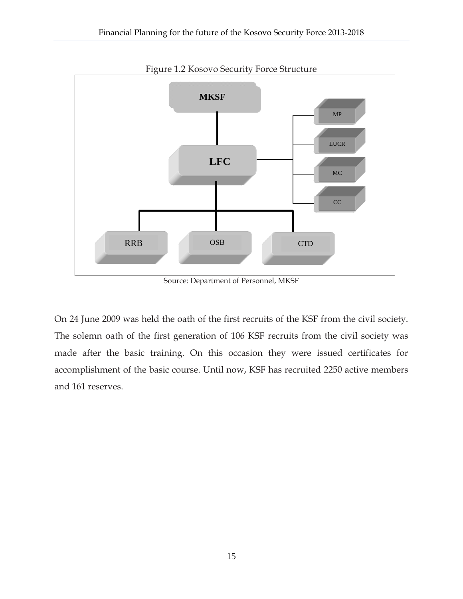

Source: Department of Personnel, MKSF

On 24 June 2009 was held the oath of the first recruits of the KSF from the civil society. The solemn oath of the first generation of 106 KSF recruits from the civil society was made after the basic training. On this occasion they were issued certificates for accomplishment of the basic course. Until now, KSF has recruited 2250 active members and 161 reserves.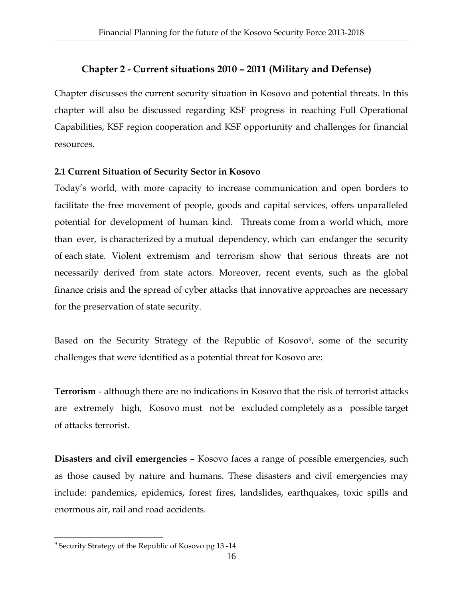#### **Chapter 2 - Current situations 2010 – 2011 (Military and Defense)**

Chapter discusses the current security situation in Kosovo and potential threats. In this chapter will also be discussed regarding KSF progress in reaching Full Operational Capabilities, KSF region cooperation and KSF opportunity and challenges for financial resources.

#### **2.1 Current Situation of Security Sector in Kosovo**

Today's world, with more capacity to increase communication and open borders to facilitate the free movement of people, goods and capital services, offers unparalleled potential for development of human kind. Threats come from a world which, more than ever, is characterized by a mutual dependency, which can endanger the security of each state. Violent extremism and terrorism show that serious threats are not necessarily derived from state actors. Moreover, recent events, such as the global finance crisis and the spread of cyber attacks that innovative approaches are necessary for the preservation of state security.

Based on the Security Strategy of the Republic of Kosovo9, some of the security challenges that were identified as a potential threat for Kosovo are:

**Terrorism** - although there are no indications in Kosovo that the risk of terrorist attacks are extremely high, Kosovo must not be excluded completely as a possible target of attacks terrorist.

**Disasters and civil emergencies** – Kosovo faces a range of possible emergencies, such as those caused by nature and humans. These disasters and civil emergencies may include: pandemics, epidemics, forest fires, landslides, earthquakes, toxic spills and enormous air, rail and road accidents.

<sup>&</sup>lt;sup>9</sup> Security Strategy of the Republic of Kosovo pg 13 -14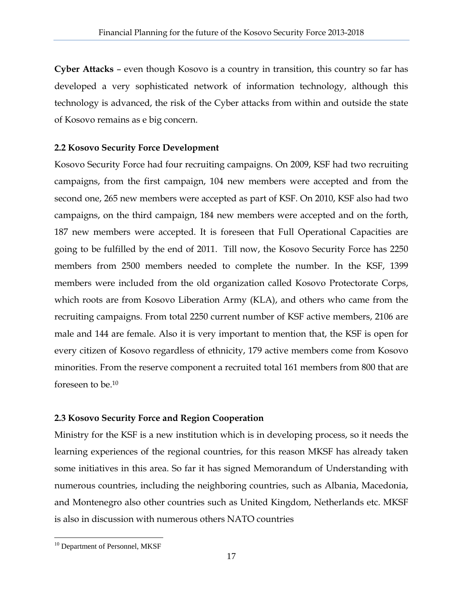**Cyber Attacks** – even though Kosovo is a country in transition, this country so far has developed a very sophisticated network of information technology, although this technology is advanced, the risk of the Cyber attacks from within and outside the state of Kosovo remains as e big concern.

#### **2.2 Kosovo Security Force Development**

Kosovo Security Force had four recruiting campaigns. On 2009, KSF had two recruiting campaigns, from the first campaign, 104 new members were accepted and from the second one, 265 new members were accepted as part of KSF. On 2010, KSF also had two campaigns, on the third campaign, 184 new members were accepted and on the forth, 187 new members were accepted. It is foreseen that Full Operational Capacities are going to be fulfilled by the end of 2011. Till now, the Kosovo Security Force has 2250 members from 2500 members needed to complete the number. In the KSF, 1399 members were included from the old organization called Kosovo Protectorate Corps, which roots are from Kosovo Liberation Army (KLA), and others who came from the recruiting campaigns. From total 2250 current number of KSF active members, 2106 are male and 144 are female. Also it is very important to mention that, the KSF is open for every citizen of Kosovo regardless of ethnicity, 179 active members come from Kosovo minorities. From the reserve component a recruited total 161 members from 800 that are foreseen to be.10

#### **2.3 Kosovo Security Force and Region Cooperation**

Ministry for the KSF is a new institution which is in developing process, so it needs the learning experiences of the regional countries, for this reason MKSF has already taken some initiatives in this area. So far it has signed Memorandum of Understanding with numerous countries, including the neighboring countries, such as Albania, Macedonia, and Montenegro also other countries such as United Kingdom, Netherlands etc. MKSF is also in discussion with numerous others NATO countries

<sup>&</sup>lt;sup>10</sup> Department of Personnel, MKSF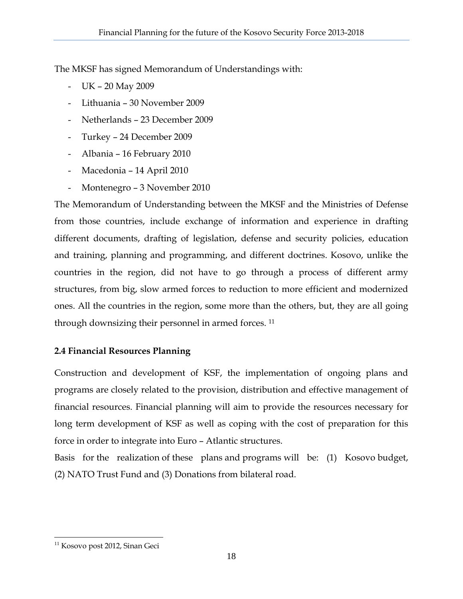The MKSF has signed Memorandum of Understandings with:

- UK 20 May 2009
- Lithuania 30 November 2009
- Netherlands 23 December 2009
- Turkey 24 December 2009
- Albania 16 February 2010
- Macedonia 14 April 2010
- Montenegro 3 November 2010

The Memorandum of Understanding between the MKSF and the Ministries of Defense from those countries, include exchange of information and experience in drafting different documents, drafting of legislation, defense and security policies, education and training, planning and programming, and different doctrines. Kosovo, unlike the countries in the region, did not have to go through a process of different army structures, from big, slow armed forces to reduction to more efficient and modernized ones. All the countries in the region, some more than the others, but, they are all going through downsizing their personnel in armed forces. 11

# **2.4 Financial Resources Planning**

Construction and development of KSF, the implementation of ongoing plans and programs are closely related to the provision, distribution and effective management of financial resources. Financial planning will aim to provide the resources necessary for long term development of KSF as well as coping with the cost of preparation for this force in order to integrate into Euro – Atlantic structures.

Basis for the realization of these plans and programs will be: (1) Kosovo budget, (2) NATO Trust Fund and (3) Donations from bilateral road.

<sup>&</sup>lt;sup>11</sup> Kosovo post 2012, Sinan Geci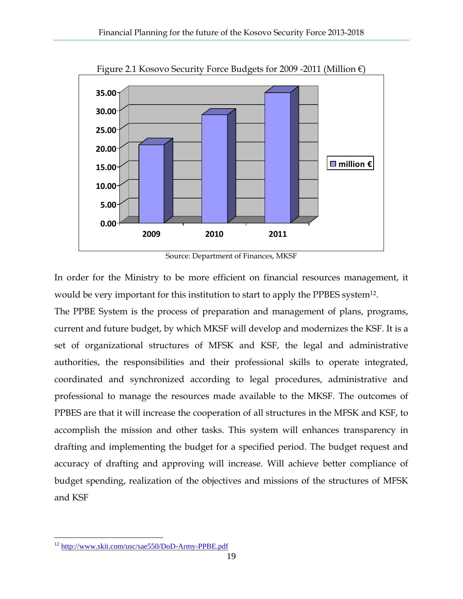

Figure 2.1 Kosovo Security Force Budgets for 2009 -2011 (Million €)

Source: Department of Finances, MKSF

In order for the Ministry to be more efficient on financial resources management, it would be very important for this institution to start to apply the PPBES system<sup>12</sup>.

The PPBE System is the process of preparation and management of plans, programs, current and future budget, by which MKSF will develop and modernizes the KSF. It is a set of organizational structures of MFSK and KSF, the legal and administrative authorities, the responsibilities and their professional skills to operate integrated, coordinated and synchronized according to legal procedures, administrative and professional to manage the resources made available to the MKSF. The outcomes of PPBES are that it will increase the cooperation of all structures in the MFSK and KSF, to accomplish the mission and other tasks. This system will enhances transparency in drafting and implementing the budget for a specified period. The budget request and accuracy of drafting and approving will increase. Will achieve better compliance of budget spending, realization of the objectives and missions of the structures of MFSK and KSF

<u>.</u>

<sup>&</sup>lt;sup>12</sup> http://www.skit.com/usc/sae550/DoD-Army-PPBE.pdf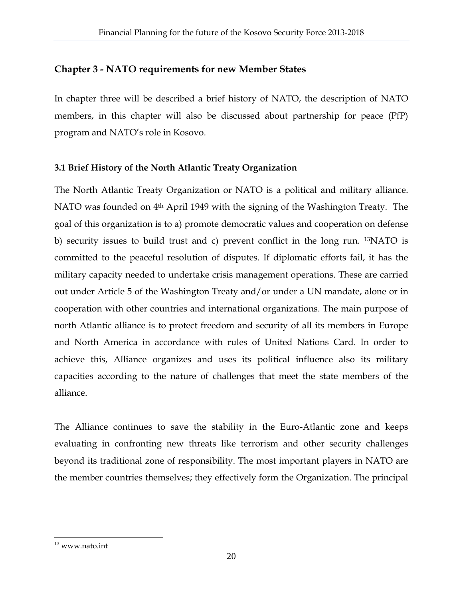# **Chapter 3 - NATO requirements for new Member States**

In chapter three will be described a brief history of NATO, the description of NATO members, in this chapter will also be discussed about partnership for peace (PfP) program and NATO's role in Kosovo.

#### **3.1 Brief History of the North Atlantic Treaty Organization**

The North Atlantic Treaty Organization or NATO is a political and military alliance. NATO was founded on 4<sup>th</sup> April 1949 with the signing of the Washington Treaty. The goal of this organization is to a) promote democratic values and cooperation on defense b) security issues to build trust and c) prevent conflict in the long run. 13NATO is committed to the peaceful resolution of disputes. If diplomatic efforts fail, it has the military capacity needed to undertake crisis management operations. These are carried out under Article 5 of the Washington Treaty and/or under a UN mandate, alone or in cooperation with other countries and international organizations. The main purpose of north Atlantic alliance is to protect freedom and security of all its members in Europe and North America in accordance with rules of United Nations Card. In order to achieve this, Alliance organizes and uses its political influence also its military capacities according to the nature of challenges that meet the state members of the alliance.

The Alliance continues to save the stability in the Euro-Atlantic zone and keeps evaluating in confronting new threats like terrorism and other security challenges beyond its traditional zone of responsibility. The most important players in NATO are the member countries themselves; they effectively form the Organization. The principal

 $\overline{a}$  $13$  www.nato.int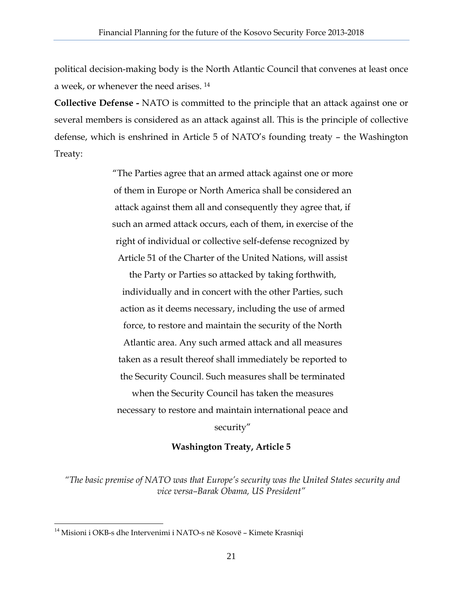political decision-making body is the North Atlantic Council that convenes at least once a week, or whenever the need arises. 14

**Collective Defense -** NATO is committed to the principle that an attack against one or several members is considered as an attack against all. This is the principle of collective defense, which is enshrined in Article 5 of NATO's founding treaty – the Washington Treaty:

> "The Parties agree that an armed attack against one or more of them in Europe or North America shall be considered an attack against them all and consequently they agree that, if such an armed attack occurs, each of them, in exercise of the right of individual or collective self-defense recognized by Article 51 of the Charter of the United Nations, will assist

the Party or Parties so attacked by taking forthwith, individually and in concert with the other Parties, such action as it deems necessary, including the use of armed force, to restore and maintain the security of the North Atlantic area. Any such armed attack and all measures taken as a result thereof shall immediately be reported to the Security Council. Such measures shall be terminated when the Security Council has taken the measures necessary to restore and maintain international peace and security"

#### **Washington Treaty, Article 5**

 *"The basic premise of NATO was that Europe's security was the United States security and vice versa–Barak Obama, US President"* 

<sup>&</sup>lt;sup>14</sup> Misioni i OKB-s dhe Intervenimi i NATO-s në Kosovë – Kimete Krasniqi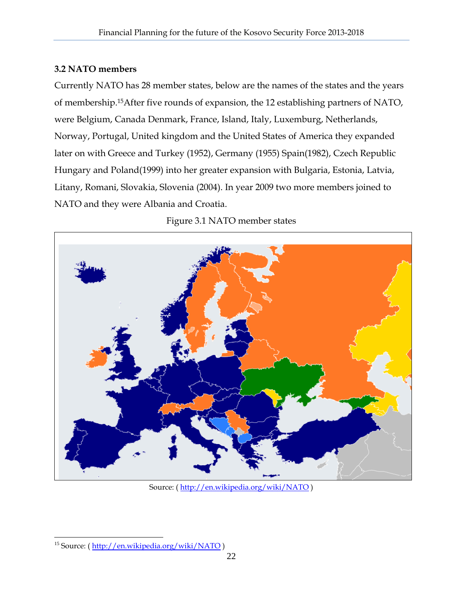#### **3.2 NATO members**

Currently NATO has 28 member states, below are the names of the states and the years of membership.15After five rounds of expansion, the 12 establishing partners of NATO, were Belgium, Canada Denmark, France, Island, Italy, Luxemburg, Netherlands, Norway, Portugal, United kingdom and the United States of America they expanded later on with Greece and Turkey (1952), Germany (1955) Spain(1982), Czech Republic Hungary and Poland(1999) into her greater expansion with Bulgaria, Estonia, Latvia, Litany, Romani, Slovakia, Slovenia (2004). In year 2009 two more members joined to NATO and they were Albania and Croatia.



Figure 3.1 NATO member states

Source: ( http://en.wikipedia.org/wiki/NATO )

<sup>&</sup>lt;sup>15</sup> Source: (http://en.wikipedia.org/wiki/NATO)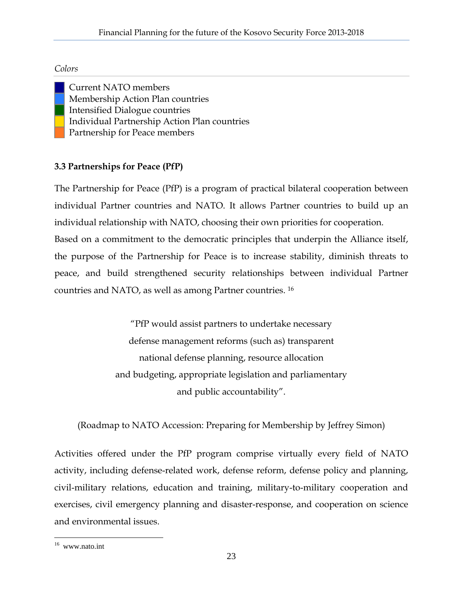#### *Colors*

 Current NATO members Membership Action Plan countries Intensified Dialogue countries Individual Partnership Action Plan countries Partnership for Peace members

# **3.3 Partnerships for Peace (PfP)**

The Partnership for Peace (PfP) is a program of practical bilateral cooperation between individual Partner countries and NATO. It allows Partner countries to build up an individual relationship with NATO, choosing their own priorities for cooperation. Based on a commitment to the democratic principles that underpin the Alliance itself, the purpose of the Partnership for Peace is to increase stability, diminish threats to peace, and build strengthened security relationships between individual Partner countries and NATO, as well as among Partner countries. 16

> "PfP would assist partners to undertake necessary defense management reforms (such as) transparent national defense planning, resource allocation and budgeting, appropriate legislation and parliamentary and public accountability".

(Roadmap to NATO Accession: Preparing for Membership by Jeffrey Simon)

Activities offered under the PfP program comprise virtually every field of NATO activity, including defense-related work, defense reform, defense policy and planning, civil-military relations, education and training, military-to-military cooperation and exercises, civil emergency planning and disaster-response, and cooperation on science and environmental issues.

 $\overline{a}$ 16 www.nato.int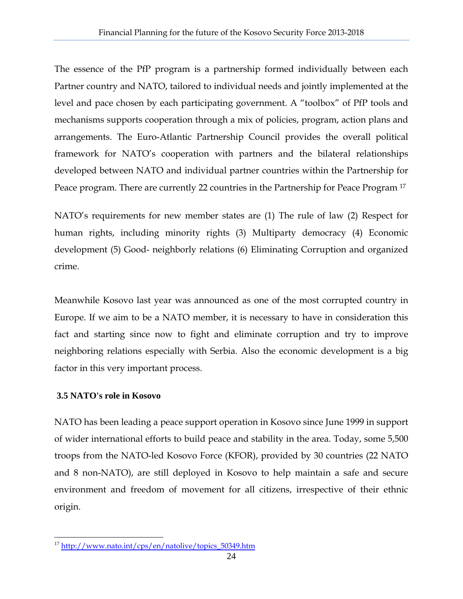The essence of the PfP program is a partnership formed individually between each Partner country and NATO, tailored to individual needs and jointly implemented at the level and pace chosen by each participating government. A "toolbox" of PfP tools and mechanisms supports cooperation through a mix of policies, program, action plans and arrangements. The Euro-Atlantic Partnership Council provides the overall political framework for NATO's cooperation with partners and the bilateral relationships developed between NATO and individual partner countries within the Partnership for Peace program. There are currently 22 countries in the Partnership for Peace Program 17

NATO's requirements for new member states are (1) The rule of law (2) Respect for human rights, including minority rights (3) Multiparty democracy (4) Economic development (5) Good- neighborly relations (6) Eliminating Corruption and organized crime.

Meanwhile Kosovo last year was announced as one of the most corrupted country in Europe. If we aim to be a NATO member, it is necessary to have in consideration this fact and starting since now to fight and eliminate corruption and try to improve neighboring relations especially with Serbia. Also the economic development is a big factor in this very important process.

#### **3.5 NATO's role in Kosovo**

NATO has been leading a peace support operation in Kosovo since June 1999 in support of wider international efforts to build peace and stability in the area. Today, some 5,500 troops from the NATO-led Kosovo Force (KFOR), provided by 30 countries (22 NATO and 8 non-NATO), are still deployed in Kosovo to help maintain a safe and secure environment and freedom of movement for all citizens, irrespective of their ethnic origin.

<sup>1</sup> <sup>17</sup> http://www.nato.int/cps/en/natolive/topics\_50349.htm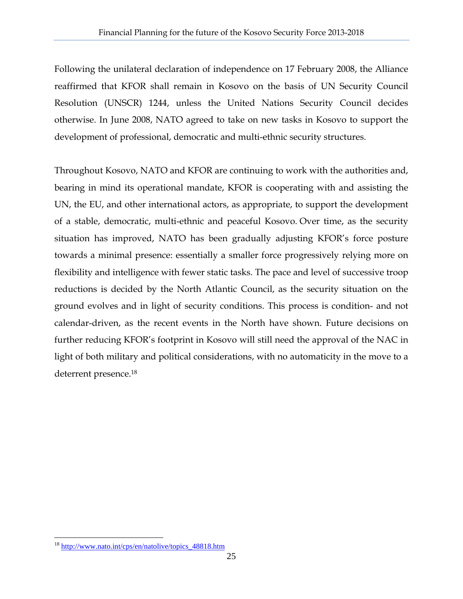Following the unilateral declaration of independence on 17 February 2008, the Alliance reaffirmed that KFOR shall remain in Kosovo on the basis of UN Security Council Resolution (UNSCR) 1244, unless the United Nations Security Council decides otherwise. In June 2008, NATO agreed to take on new tasks in Kosovo to support the development of professional, democratic and multi-ethnic security structures.

Throughout Kosovo, NATO and KFOR are continuing to work with the authorities and, bearing in mind its operational mandate, KFOR is cooperating with and assisting the UN, the EU, and other international actors, as appropriate, to support the development of a stable, democratic, multi-ethnic and peaceful Kosovo. Over time, as the security situation has improved, NATO has been gradually adjusting KFOR's force posture towards a minimal presence: essentially a smaller force progressively relying more on flexibility and intelligence with fewer static tasks. The pace and level of successive troop reductions is decided by the North Atlantic Council, as the security situation on the ground evolves and in light of security conditions. This process is condition- and not calendar-driven, as the recent events in the North have shown. Future decisions on further reducing KFOR's footprint in Kosovo will still need the approval of the NAC in light of both military and political considerations, with no automaticity in the move to a deterrent presence.18

<u>.</u>

<sup>&</sup>lt;sup>18</sup> http://www.nato.int/cps/en/natolive/topics\_48818.htm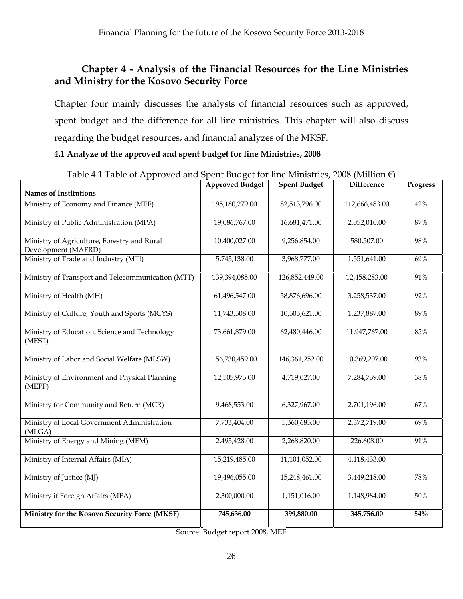# **Chapter 4 - Analysis of the Financial Resources for the Line Ministries and Ministry for the Kosovo Security Force**

Chapter four mainly discusses the analysts of financial resources such as approved, spent budget and the difference for all line ministries. This chapter will also discuss regarding the budget resources, and financial analyzes of the MKSF.

#### **4.1 Analyze of the approved and spent budget for line Ministries, 2008**

| Table 4.1 Table of Approved and Spent budget for line Ministries, 2008 (Miniton $\epsilon$ ) |                        |                     |                   |                 |
|----------------------------------------------------------------------------------------------|------------------------|---------------------|-------------------|-----------------|
|                                                                                              | <b>Approved Budget</b> | <b>Spent Budget</b> | <b>Difference</b> | <b>Progress</b> |
| <b>Names of Institutions</b>                                                                 |                        |                     |                   |                 |
| Ministry of Economy and Finance (MEF)                                                        | 195,180,279.00         | 82,513,796.00       | 112,666,483.00    | 42%             |
| Ministry of Public Administration (MPA)                                                      | 19,086,767.00          | 16,681,471.00       | 2,052,010.00      | 87%             |
| Ministry of Agriculture, Forestry and Rural<br>Development (MAFRD)                           | 10,400,027.00          | 9,256,854.00        | 580,507.00        | 98%             |
| Ministry of Trade and Industry (MTI)                                                         | 5,745,138.00           | 3,968,777.00        | 1,551,641.00      | 69%             |
| Ministry of Transport and Telecommunication (MTT)                                            | 139,394,085.00         | 126,852,449.00      | 12,458,283.00     | 91%             |
| Ministry of Health (MH)                                                                      | 61,496,547.00          | 58,876,696.00       | 3,258,537.00      | 92%             |
| Ministry of Culture, Youth and Sports (MCYS)                                                 | 11,743,508.00          | 10,505,621.00       | 1,237,887.00      | 89%             |
| Ministry of Education, Science and Technology<br>(MEST)                                      | 73,661,879.00          | 62,480,446.00       | 11,947,767.00     | 85%             |
| Ministry of Labor and Social Welfare (MLSW)                                                  | 156,730,459.00         | 146, 361, 252.00    | 10,369,207.00     | 93%             |
| Ministry of Environment and Physical Planning<br>(MEPP)                                      | 12,505,973.00          | 4,719,027.00        | 7,284,739.00      | 38%             |
| Ministry for Community and Return (MCR)                                                      | 9,468,553.00           | 6,327,967.00        | 2,701,196.00      | 67%             |
| Ministry of Local Government Administration<br>(MLGA)                                        | 7,733,404.00           | 5,360,685.00        | 2,372,719.00      | 69%             |
| Ministry of Energy and Mining (MEM)                                                          | 2,495,428.00           | 2,268,820.00        | 226,608.00        | 91%             |
| Ministry of Internal Affairs (MIA)                                                           | 15,219,485.00          | 11,101,052.00       | 4,118,433.00      |                 |
| Ministry of Justice (MJ)                                                                     | 19,496,055.00          | 15,248,461.00       | 3,449,218.00      | 78%             |
| Ministry if Foreign Affairs (MFA)                                                            | 2,300,000.00           | 1,151,016.00        | 1,148,984.00      | 50%             |
| Ministry for the Kosovo Security Force (MKSF)                                                | 745,636.00             | 399,880.00          | 345,756.00        | 54%             |

Table 4.1 Table of Approved and Spent Budget for line Ministries, 2008 (Million €)

Source: Budget report 2008, MEF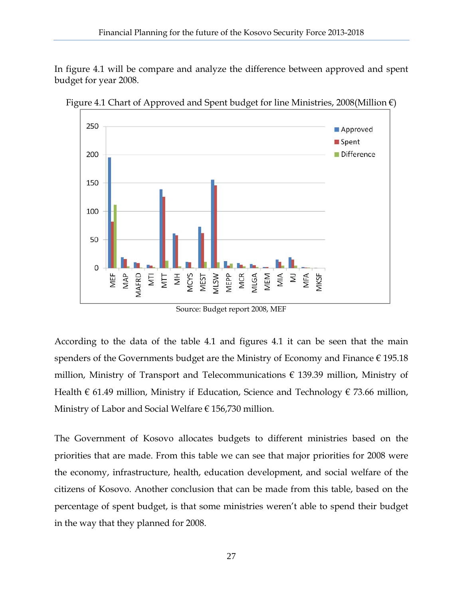In figure 4.1 will be compare and analyze the difference between approved and spent budget for year 2008.



Figure 4.1 Chart of Approved and Spent budget for line Ministries, 2008(Million  $\epsilon$ )

Source: Budget report 2008, MEF

According to the data of the table 4.1 and figures 4.1 it can be seen that the main spenders of the Governments budget are the Ministry of Economy and Finance  $\epsilon$  195.18 million, Ministry of Transport and Telecommunications  $\epsilon$  139.39 million, Ministry of Health  $\epsilon$  61.49 million, Ministry if Education, Science and Technology  $\epsilon$  73.66 million, Ministry of Labor and Social Welfare  $\epsilon$  156,730 million.

The Government of Kosovo allocates budgets to different ministries based on the priorities that are made. From this table we can see that major priorities for 2008 were the economy, infrastructure, health, education development, and social welfare of the citizens of Kosovo. Another conclusion that can be made from this table, based on the percentage of spent budget, is that some ministries weren't able to spend their budget in the way that they planned for 2008.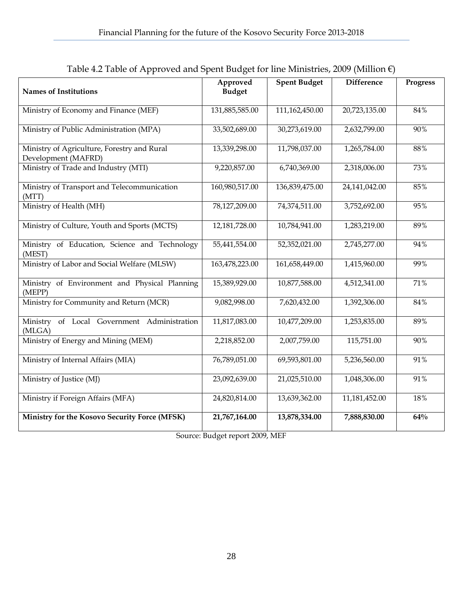| . .                                                                |                           |                     |                   |                 |
|--------------------------------------------------------------------|---------------------------|---------------------|-------------------|-----------------|
| <b>Names of Institutions</b>                                       | Approved<br><b>Budget</b> | <b>Spent Budget</b> | <b>Difference</b> | <b>Progress</b> |
| Ministry of Economy and Finance (MEF)                              | 131,885,585.00            | 111,162,450.00      | 20,723,135.00     | 84%             |
| Ministry of Public Administration (MPA)                            | 33,502,689.00             | 30,273,619.00       | 2,632,799.00      | 90%             |
| Ministry of Agriculture, Forestry and Rural<br>Development (MAFRD) | 13,339,298.00             | 11,798,037.00       | 1,265,784.00      | 88%             |
| Ministry of Trade and Industry (MTI)                               | 9,220,857.00              | 6,740,369.00        | 2,318,006.00      | 73%             |
| Ministry of Transport and Telecommunication<br>(MTT)               | 160,980,517.00            | 136,839,475.00      | 24,141,042.00     | 85%             |
| Ministry of Health (MH)                                            | 78,127,209.00             | 74,374,511.00       | 3,752,692.00      | 95%             |
| Ministry of Culture, Youth and Sports (MCTS)                       | 12,181,728.00             | 10,784,941.00       | 1,283,219.00      | 89%             |
| Ministry of Education, Science and Technology<br>(MEST)            | 55,441,554.00             | 52,352,021.00       | 2,745,277.00      | 94%             |
| Ministry of Labor and Social Welfare (MLSW)                        | 163,478,223.00            | 161,658,449.00      | 1,415,960.00      | 99%             |
| Ministry of Environment and Physical Planning<br>(MEPP)            | 15,389,929.00             | 10,877,588.00       | 4,512,341.00      | 71%             |
| Ministry for Community and Return (MCR)                            | 9,082,998.00              | 7,620,432.00        | 1,392,306.00      | 84%             |
| Ministry of Local Government Administration<br>(MLGA)              | 11,817,083.00             | 10,477,209.00       | 1,253,835.00      | 89%             |
| Ministry of Energy and Mining (MEM)                                | 2,218,852.00              | 2,007,759.00        | 115,751.00        | 90%             |
| Ministry of Internal Affairs (MIA)                                 | 76,789,051.00             | 69,593,801.00       | 5,236,560.00      | 91%             |
| Ministry of Justice (MJ)                                           | 23,092,639.00             | 21,025,510.00       | 1,048,306.00      | 91%             |
| Ministry if Foreign Affairs (MFA)                                  | 24,820,814.00             | 13,639,362.00       | 11,181,452.00     | 18%             |
| Ministry for the Kosovo Security Force (MFSK)                      | 21,767,164.00             | 13,878,334.00       | 7,888,830.00      | 64%             |

| Table 4.2 Table of Approved and Spent Budget for line Ministries, 2009 (Million $\epsilon$ ) |  |  |
|----------------------------------------------------------------------------------------------|--|--|
|                                                                                              |  |  |

Source: Budget report 2009, MEF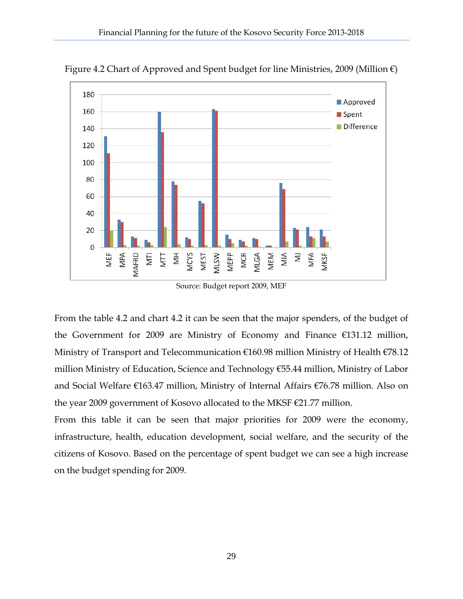

Figure 4.2 Chart of Approved and Spent budget for line Ministries, 2009 (Million  $\epsilon$ )

Source: Budget report 2009, MEF

From the table 4.2 and chart 4.2 it can be seen that the major spenders, of the budget of the Government for 2009 are Ministry of Economy and Finance €131.12 million, Ministry of Transport and Telecommunication €160.98 million Ministry of Health €78.12 million Ministry of Education, Science and Technology €55.44 million, Ministry of Labor and Social Welfare €163.47 million, Ministry of Internal Affairs €76.78 million. Also on the year 2009 government of Kosovo allocated to the MKSF €21.77 million.

From this table it can be seen that major priorities for 2009 were the economy, infrastructure, health, education development, social welfare, and the security of the citizens of Kosovo. Based on the percentage of spent budget we can see a high increase on the budget spending for 2009.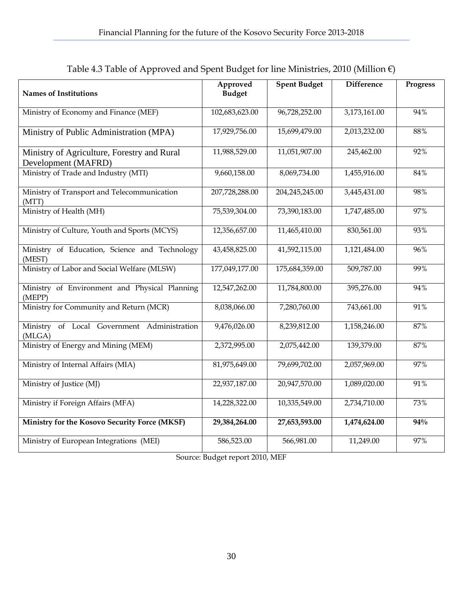| <b>Names of Institutions</b>                                       | Approved<br><b>Budget</b> | <b>Spent Budget</b> | <b>Difference</b> | <b>Progress</b> |
|--------------------------------------------------------------------|---------------------------|---------------------|-------------------|-----------------|
| Ministry of Economy and Finance (MEF)                              | 102,683,623.00            | 96,728,252.00       | 3,173,161.00      | 94%             |
| Ministry of Public Administration (MPA)                            | 17,929,756.00             | 15,699,479.00       | 2,013,232.00      | 88%             |
| Ministry of Agriculture, Forestry and Rural<br>Development (MAFRD) | 11,988,529.00             | 11,051,907.00       | 245,462.00        | 92%             |
| Ministry of Trade and Industry (MTI)                               | 9,660,158.00              | 8,069,734.00        | 1,455,916.00      | 84%             |
| Ministry of Transport and Telecommunication<br>(MTT)               | 207,728,288.00            | 204,245,245.00      | 3,445,431.00      | 98%             |
| Ministry of Health (MH)                                            | 75,539,304.00             | 73,390,183.00       | 1,747,485.00      | 97%             |
| Ministry of Culture, Youth and Sports (MCYS)                       | 12,356,657.00             | 11,465,410.00       | 830,561.00        | 93%             |
| Ministry of Education, Science and Technology<br>(MEST)            | 43,458,825.00             | 41,592,115.00       | 1,121,484.00      | 96%             |
| Ministry of Labor and Social Welfare (MLSW)                        | 177,049,177.00            | 175,684,359.00      | 509,787.00        | 99%             |
| Ministry of Environment and Physical Planning<br>(MEPP)            | 12,547,262.00             | 11,784,800.00       | 395,276.00        | 94%             |
| Ministry for Community and Return (MCR)                            | 8,038,066.00              | 7,280,760.00        | 743,661.00        | 91%             |
| of Local Government Administration<br>Ministry<br>(MLGA)           | 9,476,026.00              | 8,239,812.00        | 1,158,246.00      | 87%             |
| Ministry of Energy and Mining (MEM)                                | 2,372,995.00              | 2,075,442.00        | 139,379.00        | 87%             |
| Ministry of Internal Affairs (MIA)                                 | 81,975,649.00             | 79,699,702.00       | 2,057,969.00      | 97%             |
| Ministry of Justice (MJ)                                           | 22,937,187.00             | 20,947,570.00       | 1,089,020.00      | 91%             |
| Ministry if Foreign Affairs (MFA)                                  | 14,228,322.00             | 10,335,549.00       | 2,734,710.00      | 73%             |
| Ministry for the Kosovo Security Force (MKSF)                      | 29,384,264.00             | 27,653,593.00       | 1,474,624.00      | 94%             |
| Ministry of European Integrations (MEI)                            | 586,523.00                | 566,981.00          | 11,249.00         | 97%             |

Table 4.3 Table of Approved and Spent Budget for line Ministries, 2010 (Million  $\epsilon$ )

Source: Budget report 2010, MEF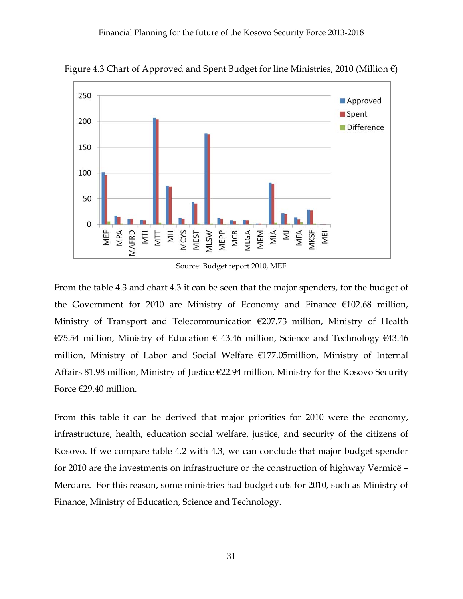

Figure 4.3 Chart of Approved and Spent Budget for line Ministries, 2010 (Million  $\epsilon$ )

Source: Budget report 2010, MEF

From the table 4.3 and chart 4.3 it can be seen that the major spenders, for the budget of the Government for 2010 are Ministry of Economy and Finance  $\epsilon$ 102.68 million, Ministry of Transport and Telecommunication €207.73 million, Ministry of Health €75.54 million, Ministry of Education  $\epsilon$  43.46 million, Science and Technology  $\epsilon$ 43.46 million, Ministry of Labor and Social Welfare €177.05million, Ministry of Internal Affairs 81.98 million, Ministry of Justice €22.94 million, Ministry for the Kosovo Security Force €29.40 million.

From this table it can be derived that major priorities for 2010 were the economy, infrastructure, health, education social welfare, justice, and security of the citizens of Kosovo. If we compare table 4.2 with 4.3, we can conclude that major budget spender for 2010 are the investments on infrastructure or the construction of highway Vermicë – Merdare. For this reason, some ministries had budget cuts for 2010, such as Ministry of Finance, Ministry of Education, Science and Technology.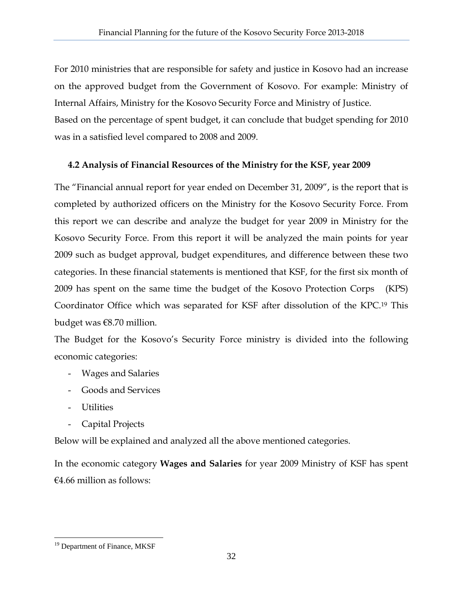For 2010 ministries that are responsible for safety and justice in Kosovo had an increase on the approved budget from the Government of Kosovo. For example: Ministry of Internal Affairs, Ministry for the Kosovo Security Force and Ministry of Justice.

Based on the percentage of spent budget, it can conclude that budget spending for 2010 was in a satisfied level compared to 2008 and 2009.

# **4.2 Analysis of Financial Resources of the Ministry for the KSF, year 2009**

The "Financial annual report for year ended on December 31, 2009", is the report that is completed by authorized officers on the Ministry for the Kosovo Security Force. From this report we can describe and analyze the budget for year 2009 in Ministry for the Kosovo Security Force. From this report it will be analyzed the main points for year 2009 such as budget approval, budget expenditures, and difference between these two categories. In these financial statements is mentioned that KSF, for the first six month of 2009 has spent on the same time the budget of the Kosovo Protection Corps (KPS) Coordinator Office which was separated for KSF after dissolution of the KPC.19 This budget was €8.70 million.

The Budget for the Kosovo's Security Force ministry is divided into the following economic categories:

- Wages and Salaries
- Goods and Services
- Utilities
- Capital Projects

Below will be explained and analyzed all the above mentioned categories.

In the economic category **Wages and Salaries** for year 2009 Ministry of KSF has spent €4.66 million as follows:

<sup>&</sup>lt;u>.</u> <sup>19</sup> Department of Finance, MKSF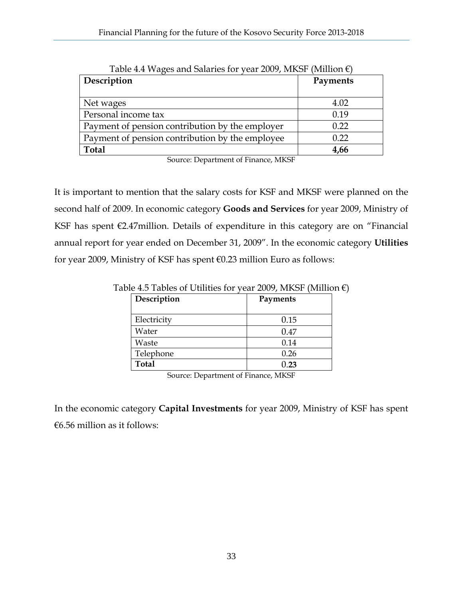| Tubic 1.1 Traged and banance for year 2007, infect (number $cl$ |          |
|-----------------------------------------------------------------|----------|
| Description                                                     | Payments |
|                                                                 |          |
|                                                                 |          |
| Net wages                                                       | 4.02     |
| Personal income tax                                             | 0.19     |
| Payment of pension contribution by the employer                 | 0.22     |
| Payment of pension contribution by the employee                 | 0.22     |
| <b>Total</b>                                                    | 4,66     |
|                                                                 |          |

Table 4.4 Wages and Salaries for year 2009, MKSF (Million  $\epsilon$ )

Source: Department of Finance, MKSF

It is important to mention that the salary costs for KSF and MKSF were planned on the second half of 2009. In economic category **Goods and Services** for year 2009, Ministry of KSF has spent €2.47million. Details of expenditure in this category are on "Financial annual report for year ended on December 31, 2009". In the economic category **Utilities** for year 2009, Ministry of KSF has spent €0.23 million Euro as follows:

| Description  | Payments |
|--------------|----------|
| Electricity  | 0.15     |
| Water        | 0.47     |
| Waste        | 0.14     |
| Telephone    | 0.26     |
| <b>Total</b> | 0.23     |

Table 4.5 Tables of Utilities for year 2009, MKSF (Million  $\epsilon$ )

Source: Department of Finance, MKSF

In the economic category **Capital Investments** for year 2009, Ministry of KSF has spent  $€6.56$  million as it follows: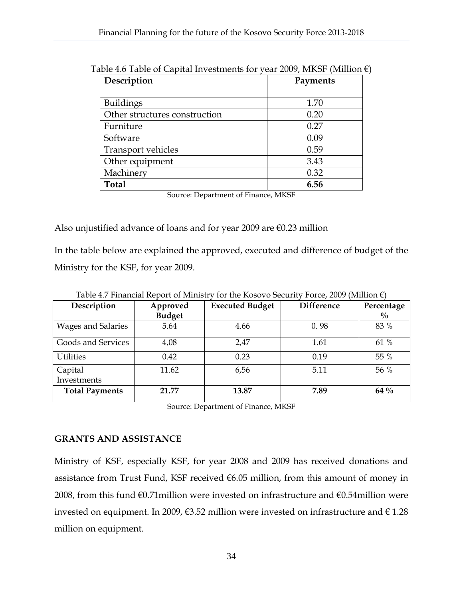| Description                   | Payments |  |  |
|-------------------------------|----------|--|--|
| <b>Buildings</b>              | 1.70     |  |  |
| Other structures construction | 0.20     |  |  |
| Furniture                     | 0.27     |  |  |
| Software                      | 0.09     |  |  |
| <b>Transport vehicles</b>     | 0.59     |  |  |
| Other equipment               | 3.43     |  |  |
| Machinery                     | 0.32     |  |  |
| <b>Total</b>                  | 6.56     |  |  |

Table 4.6 Table of Capital Investments for year 2009, MKSF (Million  $\epsilon$ )

Source: Department of Finance, MKSF

Also unjustified advance of loans and for year 2009 are  $\epsilon$ 0.23 million

In the table below are explained the approved, executed and difference of budget of the Ministry for the KSF, for year 2009.

| Description               | Approved<br><b>Budget</b> | <b>Executed Budget</b> | <b>Difference</b> | Percentage<br>$\frac{0}{0}$ |
|---------------------------|---------------------------|------------------------|-------------------|-----------------------------|
| <b>Wages and Salaries</b> | 5.64                      | 4.66                   | 0.98              | 83 %                        |
| Goods and Services        | 4,08                      | 2,47                   | 1.61              | 61 %                        |
| <b>Utilities</b>          | 0.42                      | 0.23                   | 0.19              | 55 %                        |
| Capital<br>Investments    | 11.62                     | 6,56                   | 5.11              | 56 %                        |
| <b>Total Payments</b>     | 21.77                     | 13.87                  | 7.89              | 64 %                        |

Table 4.7 Financial Report of Ministry for the Kosovo Security Force, 2009 (Million €)

Source: Department of Finance, MKSF

#### **GRANTS AND ASSISTANCE**

Ministry of KSF, especially KSF, for year 2008 and 2009 has received donations and assistance from Trust Fund, KSF received  $6.05$  million, from this amount of money in 2008, from this fund €0.71million were invested on infrastructure and €0.54million were invested on equipment. In 2009, €3.52 million were invested on infrastructure and  $€ 1.28$ million on equipment.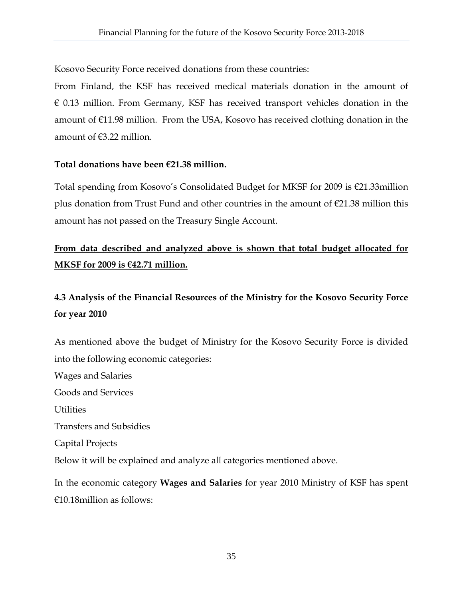Kosovo Security Force received donations from these countries:

From Finland, the KSF has received medical materials donation in the amount of  $\epsilon$  0.13 million. From Germany, KSF has received transport vehicles donation in the amount of €11.98 million. From the USA, Kosovo has received clothing donation in the amount of €3.22 million.

#### **Total donations have been €21.38 million.**

Total spending from Kosovo's Consolidated Budget for MKSF for 2009 is €21.33million plus donation from Trust Fund and other countries in the amount of  $\epsilon$ 21.38 million this amount has not passed on the Treasury Single Account.

# **From data described and analyzed above is shown that total budget allocated for MKSF for 2009 is €42.71 million.**

# **4.3 Analysis of the Financial Resources of the Ministry for the Kosovo Security Force for year 2010**

As mentioned above the budget of Ministry for the Kosovo Security Force is divided into the following economic categories:

Wages and Salaries Goods and Services Utilities Transfers and Subsidies Capital Projects Below it will be explained and analyze all categories mentioned above.

In the economic category **Wages and Salaries** for year 2010 Ministry of KSF has spent €10.18million as follows: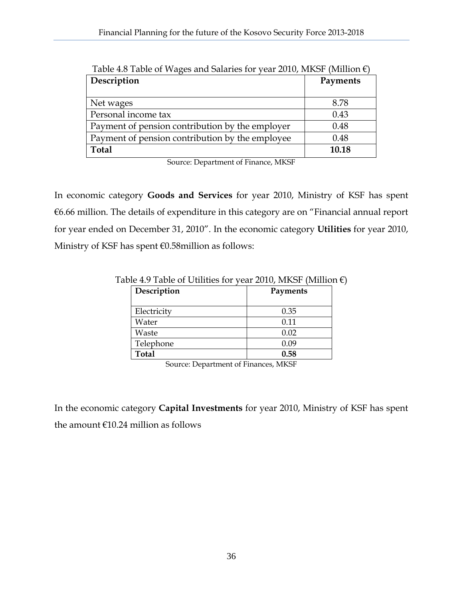| $\sim$ 20020 01 $\sim$ $\sim$ $\sim$ 0.100 0.100 0.101 | $, \, \circ \, \ldots \, \bullet \, \bullet \, \bullet \, \ldots \, \bullet \, \bullet \, \bullet \, \bullet \, \bullet \, \bullet \, \bullet \, \bullet \, \bullet$ |
|--------------------------------------------------------|----------------------------------------------------------------------------------------------------------------------------------------------------------------------|
| Description                                            | Payments                                                                                                                                                             |
|                                                        |                                                                                                                                                                      |
| Net wages                                              | 8.78                                                                                                                                                                 |
| Personal income tax                                    | 0.43                                                                                                                                                                 |
| Payment of pension contribution by the employer        | 0.48                                                                                                                                                                 |
| Payment of pension contribution by the employee        | 0.48                                                                                                                                                                 |
| <b>Total</b>                                           | 10.18                                                                                                                                                                |

Table 4.8 Table of Wages and Salaries for year 2010, MKSF (Million  $\epsilon$ )

Source: Department of Finance, MKSF

In economic category **Goods and Services** for year 2010, Ministry of KSF has spent €6.66 million. The details of expenditure in this category are on "Financial annual report for year ended on December 31, 2010". In the economic category **Utilities** for year 2010, Ministry of KSF has spent €0.58million as follows:

| Description  | Payments |
|--------------|----------|
| Electricity  | 0.35     |
| Water        | 0.11     |
| Waste        | 0.02     |
| Telephone    | 0.09     |
| <b>Total</b> | 0.58     |

Table 4.9 Table of Utilities for year 2010, MKSF (Million  $\epsilon$ )

Source: Department of Finances, MKSF

In the economic category **Capital Investments** for year 2010, Ministry of KSF has spent the amount  $€10.24$  million as follows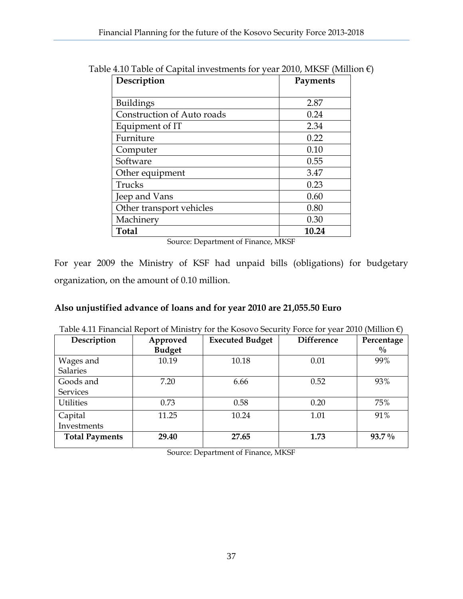| Description                | Payments |
|----------------------------|----------|
|                            |          |
| <b>Buildings</b>           | 2.87     |
| Construction of Auto roads | 0.24     |
| Equipment of IT            | 2.34     |
| Furniture                  | 0.22     |
| Computer                   | 0.10     |
| Software                   | 0.55     |
| Other equipment            | 3.47     |
| Trucks                     | 0.23     |
| Jeep and Vans              | 0.60     |
| Other transport vehicles   | 0.80     |
| Machinery                  | 0.30     |
| <b>Total</b>               | 10.24    |

Table 4.10 Table of Capital investments for year 2010, MKSF (Million  $\epsilon$ )

Source: Department of Finance, MKSF

For year 2009 the Ministry of KSF had unpaid bills (obligations) for budgetary organization, on the amount of 0.10 million.

#### **Also unjustified advance of loans and for year 2010 are 21,055.50 Euro**

| Description           | Approved      | <b>Executed Budget</b> | <b>Difference</b> | Percentage    |
|-----------------------|---------------|------------------------|-------------------|---------------|
|                       | <b>Budget</b> |                        |                   | $\frac{0}{0}$ |
| Wages and             | 10.19         | 10.18                  | 0.01              | 99%           |
| <b>Salaries</b>       |               |                        |                   |               |
| Goods and             | 7.20          | 6.66                   | 0.52              | 93%           |
| <b>Services</b>       |               |                        |                   |               |
| <b>Utilities</b>      | 0.73          | 0.58                   | 0.20              | 75%           |
| Capital               | 11.25         | 10.24                  | 1.01              | 91%           |
| Investments           |               |                        |                   |               |
| <b>Total Payments</b> | 29.40         | 27.65                  | 1.73              | $93.7\%$      |

Table 4.11 Financial Report of Ministry for the Kosovo Security Force for year 2010 (Million €)

Source: Department of Finance, MKSF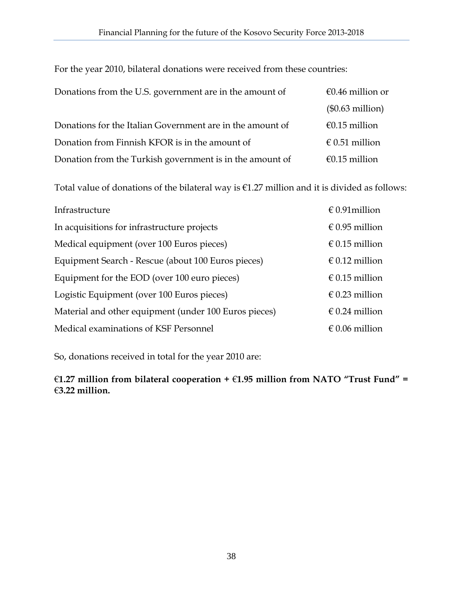| Donations from the U.S. government are in the amount of   | €0.46 million or   |
|-----------------------------------------------------------|--------------------|
|                                                           | $(\$0.63$ million) |
| Donations for the Italian Government are in the amount of | €0.15 million      |
| Donation from Finnish KFOR is in the amount of            | € 0.51 million     |
| Donation from the Turkish government is in the amount of  | €0.15 million      |

For the year 2010, bilateral donations were received from these countries:

Total value of donations of the bilateral way is €1.27 million and it is divided as follows:

| Infrastructure                                        | $\in$ 0.91 million      |
|-------------------------------------------------------|-------------------------|
| In acquisitions for infrastructure projects           | € 0.95 million          |
| Medical equipment (over 100 Euros pieces)             | $\epsilon$ 0.15 million |
| Equipment Search - Rescue (about 100 Euros pieces)    | $\in$ 0.12 million      |
| Equipment for the EOD (over 100 euro pieces)          | $\epsilon$ 0.15 million |
| Logistic Equipment (over 100 Euros pieces)            | $\in$ 0.23 million      |
| Material and other equipment (under 100 Euros pieces) | $\in 0.24$ million      |
| Medical examinations of KSF Personnel                 | $\epsilon$ 0.06 million |

So, donations received in total for the year 2010 are:

€**1.27 million from bilateral cooperation +** €**1.95 million from NATO "Trust Fund" =**  €**3.22 million.**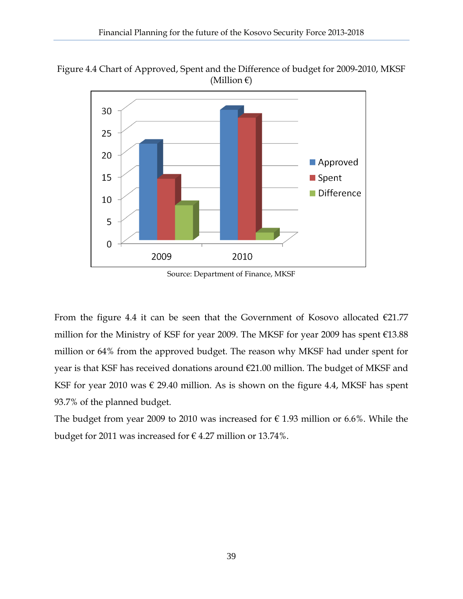Figure 4.4 Chart of Approved, Spent and the Difference of budget for 2009-2010, MKSF (Million  $\epsilon$ )



Source: Department of Finance, MKSF

From the figure 4.4 it can be seen that the Government of Kosovo allocated  $E21.77$ million for the Ministry of KSF for year 2009. The MKSF for year 2009 has spent €13.88 million or 64% from the approved budget. The reason why MKSF had under spent for year is that KSF has received donations around €21.00 million. The budget of MKSF and KSF for year 2010 was  $\epsilon$  29.40 million. As is shown on the figure 4.4, MKSF has spent 93.7% of the planned budget.

The budget from year 2009 to 2010 was increased for  $\epsilon$  1.93 million or 6.6%. While the budget for 2011 was increased for  $\epsilon$  4.27 million or 13.74%.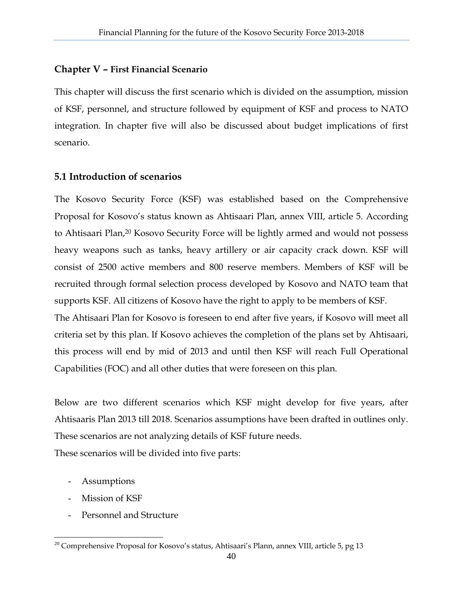#### **Chapter V – First Financial Scenario**

This chapter will discuss the first scenario which is divided on the assumption, mission of KSF, personnel, and structure followed by equipment of KSF and process to NATO integration. In chapter five will also be discussed about budget implications of first scenario.

#### **5.1 Introduction of scenarios**

The Kosovo Security Force (KSF) was established based on the Comprehensive Proposal for Kosovo's status known as Ahtisaari Plan, annex VIII, article 5. According to Ahtisaari Plan,20 Kosovo Security Force will be lightly armed and would not possess heavy weapons such as tanks, heavy artillery or air capacity crack down. KSF will consist of 2500 active members and 800 reserve members. Members of KSF will be recruited through formal selection process developed by Kosovo and NATO team that supports KSF. All citizens of Kosovo have the right to apply to be members of KSF. The Ahtisaari Plan for Kosovo is foreseen to end after five years, if Kosovo will meet all

criteria set by this plan. If Kosovo achieves the completion of the plans set by Ahtisaari, this process will end by mid of 2013 and until then KSF will reach Full Operational Capabilities (FOC) and all other duties that were foreseen on this plan.

Below are two different scenarios which KSF might develop for five years, after Ahtisaaris Plan 2013 till 2018. Scenarios assumptions have been drafted in outlines only. These scenarios are not analyzing details of KSF future needs.

These scenarios will be divided into five parts:

- Assumptions
- Mission of KSF

 $\overline{a}$ 

Personnel and Structure

 $^{20}$  Comprehensive Proposal for Kosovo's status, Ahtisaari's Plann, annex VIII, article 5, pg 13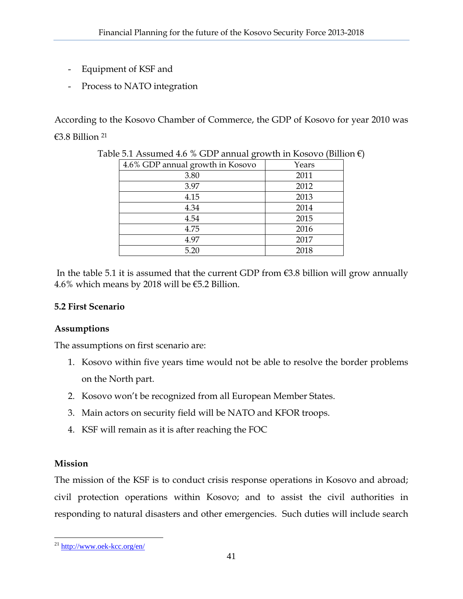- Equipment of KSF and
- Process to NATO integration

According to the Kosovo Chamber of Commerce, the GDP of Kosovo for year 2010 was €3.8 Billion 21

| 4.6% GDP annual growth in Kosovo | Years |
|----------------------------------|-------|
| 3.80                             | 2011  |
| 3.97                             | 2012  |
| 4.15                             | 2013  |
| 4.34                             | 2014  |
| 4.54                             | 2015  |
| 4.75                             | 2016  |
| 4.97                             | 2017  |
| 5.20                             | 2018  |

Table 5.1 Assumed 4.6 % GDP annual growth in Kosovo (Billion  $\epsilon$ )

In the table 5.1 it is assumed that the current GDP from  $\epsilon$ 3.8 billion will grow annually 4.6% which means by 2018 will be  $\epsilon$ 5.2 Billion.

#### **5.2 First Scenario**

#### **Assumptions**

The assumptions on first scenario are:

- 1. Kosovo within five years time would not be able to resolve the border problems on the North part.
- 2. Kosovo won't be recognized from all European Member States.
- 3. Main actors on security field will be NATO and KFOR troops.
- 4. KSF will remain as it is after reaching the FOC

#### **Mission**

The mission of the KSF is to conduct crisis response operations in Kosovo and abroad; civil protection operations within Kosovo; and to assist the civil authorities in responding to natural disasters and other emergencies. Such duties will include search

 $\overline{a}$ <sup>21</sup> http://www.oek-kcc.org/en/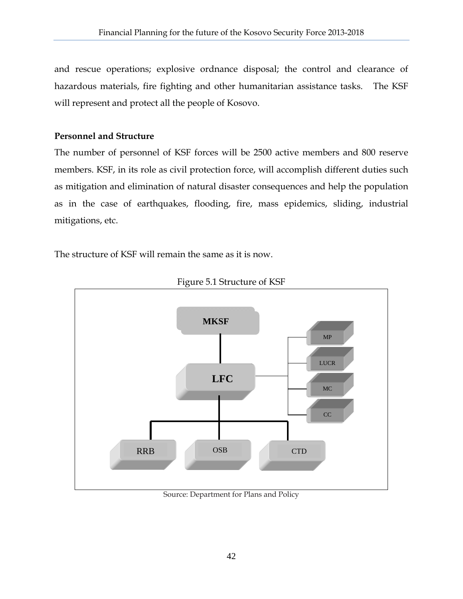and rescue operations; explosive ordnance disposal; the control and clearance of hazardous materials, fire fighting and other humanitarian assistance tasks. The KSF will represent and protect all the people of Kosovo.

#### **Personnel and Structure**

The number of personnel of KSF forces will be 2500 active members and 800 reserve members. KSF, in its role as civil protection force, will accomplish different duties such as mitigation and elimination of natural disaster consequences and help the population as in the case of earthquakes, flooding, fire, mass epidemics, sliding, industrial mitigations, etc.

The structure of KSF will remain the same as it is now.



Figure 5.1 Structure of KSF

Source: Department for Plans and Policy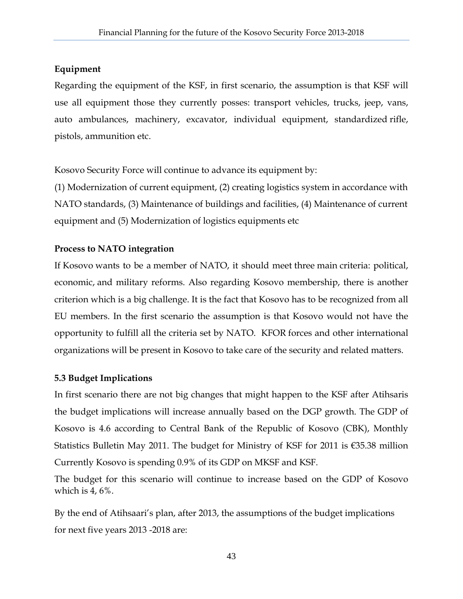#### **Equipment**

Regarding the equipment of the KSF, in first scenario, the assumption is that KSF will use all equipment those they currently posses: transport vehicles, trucks, jeep, vans, auto ambulances, machinery, excavator, individual equipment, standardized rifle, pistols, ammunition etc.

Kosovo Security Force will continue to advance its equipment by:

(1) Modernization of current equipment, (2) creating logistics system in accordance with NATO standards, (3) Maintenance of buildings and facilities, (4) Maintenance of current equipment and (5) Modernization of logistics equipments etc

#### **Process to NATO integration**

If Kosovo wants to be a member of NATO, it should meet three main criteria: political, economic, and military reforms. Also regarding Kosovo membership, there is another criterion which is a big challenge. It is the fact that Kosovo has to be recognized from all EU members. In the first scenario the assumption is that Kosovo would not have the opportunity to fulfill all the criteria set by NATO. KFOR forces and other international organizations will be present in Kosovo to take care of the security and related matters.

#### **5.3 Budget Implications**

In first scenario there are not big changes that might happen to the KSF after Atihsaris the budget implications will increase annually based on the DGP growth. The GDP of Kosovo is 4.6 according to Central Bank of the Republic of Kosovo (CBK), Monthly Statistics Bulletin May 2011. The budget for Ministry of KSF for 2011 is  $\epsilon$ 35.38 million Currently Kosovo is spending 0.9% of its GDP on MKSF and KSF.

The budget for this scenario will continue to increase based on the GDP of Kosovo which is  $4,6\%$ .

By the end of Atihsaari's plan, after 2013, the assumptions of the budget implications for next five years 2013 -2018 are: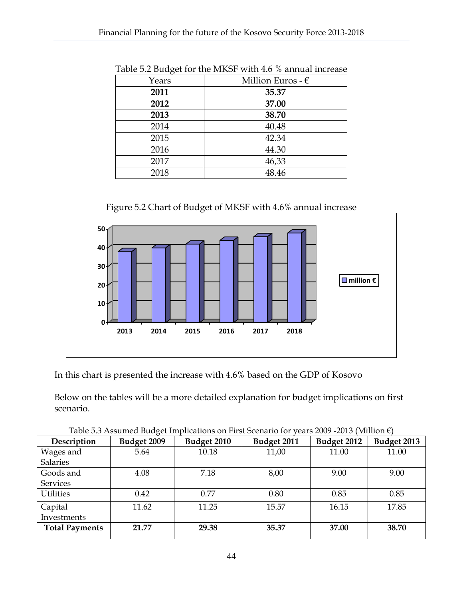| ິ ຕິ  |                            |
|-------|----------------------------|
| Years | Million Euros - $\epsilon$ |
| 2011  | 35.37                      |
| 2012  | 37.00                      |
| 2013  | 38.70                      |
| 2014  | 40.48                      |
| 2015  | 42.34                      |
| 2016  | 44.30                      |
| 2017  | 46,33                      |
| 2018  | 48.46                      |
|       |                            |

Table 5.2 Budget for the MKSF with 4.6 % annual increase

Figure 5.2 Chart of Budget of MKSF with 4.6% annual increase



In this chart is presented the increase with 4.6% based on the GDP of Kosovo

Below on the tables will be a more detailed explanation for budget implications on first scenario.

| Description           | Budget 2009 | Budget 2010 | Budget 2011 | Budget 2012 | Budget 2013 |
|-----------------------|-------------|-------------|-------------|-------------|-------------|
| Wages and             | 5.64        | 10.18       | 11,00       | 11.00       | 11.00       |
| <b>Salaries</b>       |             |             |             |             |             |
| Goods and             | 4.08        | 7.18        | 8,00        | 9.00        | 9.00        |
| Services              |             |             |             |             |             |
| <b>Utilities</b>      | 0.42        | 0.77        | 0.80        | 0.85        | 0.85        |
| Capital               | 11.62       | 11.25       | 15.57       | 16.15       | 17.85       |
| Investments           |             |             |             |             |             |
| <b>Total Payments</b> | 21.77       | 29.38       | 35.37       | 37.00       | 38.70       |

Table 5.3 Assumed Budget Implications on First Scenario for years 2009 -2013 (Million  $\epsilon$ )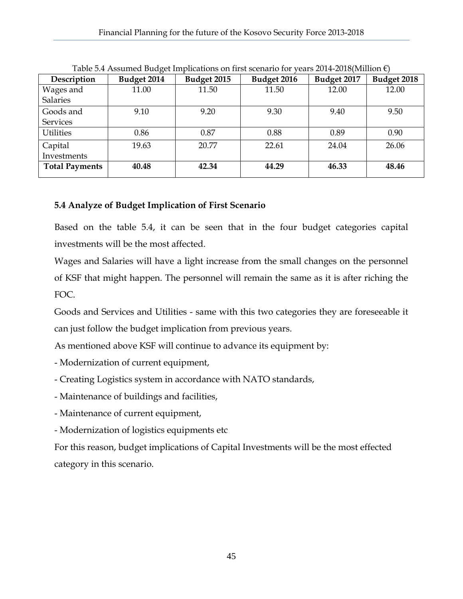| Description           | Budget 2014 | Budget 2015 | Budget 2017<br>Budget 2016 |       | Budget 2018 |  |
|-----------------------|-------------|-------------|----------------------------|-------|-------------|--|
| Wages and             | 11.00       | 11.50       | 11.50                      | 12.00 | 12.00       |  |
| <b>Salaries</b>       |             |             |                            |       |             |  |
| Goods and             | 9.10        | 9.20        | 9.30                       | 9.40  | 9.50        |  |
| <b>Services</b>       |             |             |                            |       |             |  |
| <b>Utilities</b>      | 0.86        | 0.87        | 0.88                       | 0.89  |             |  |
| Capital               | 19.63       | 20.77       | 22.61                      | 24.04 | 26.06       |  |
| Investments           |             |             |                            |       |             |  |
| <b>Total Payments</b> | 40.48       | 42.34       | 44.29                      | 46.33 | 48.46       |  |

Table 5.4 Assumed Budget Implications on first scenario for years 2014-2018(Million €)

# **5.4 Analyze of Budget Implication of First Scenario**

Based on the table 5.4, it can be seen that in the four budget categories capital investments will be the most affected.

Wages and Salaries will have a light increase from the small changes on the personnel of KSF that might happen. The personnel will remain the same as it is after riching the FOC.

Goods and Services and Utilities - same with this two categories they are foreseeable it can just follow the budget implication from previous years.

As mentioned above KSF will continue to advance its equipment by:

- Modernization of current equipment,
- Creating Logistics system in accordance with NATO standards,
- Maintenance of buildings and facilities,
- Maintenance of current equipment,
- Modernization of logistics equipments etc

For this reason, budget implications of Capital Investments will be the most effected category in this scenario.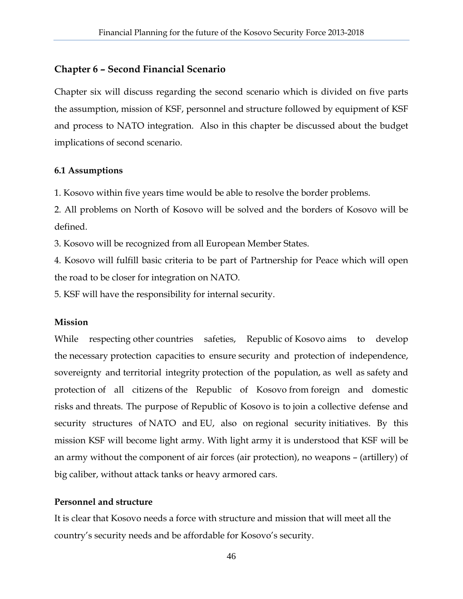#### **Chapter 6 – Second Financial Scenario**

Chapter six will discuss regarding the second scenario which is divided on five parts the assumption, mission of KSF, personnel and structure followed by equipment of KSF and process to NATO integration. Also in this chapter be discussed about the budget implications of second scenario.

#### **6.1 Assumptions**

1. Kosovo within five years time would be able to resolve the border problems.

2. All problems on North of Kosovo will be solved and the borders of Kosovo will be defined.

3. Kosovo will be recognized from all European Member States.

4. Kosovo will fulfill basic criteria to be part of Partnership for Peace which will open the road to be closer for integration on NATO.

5. KSF will have the responsibility for internal security.

#### **Mission**

While respecting other countries safeties, Republic of Kosovo aims to develop the necessary protection capacities to ensure security and protection of independence, sovereignty and territorial integrity protection of the population, as well as safety and protection of all citizens of the Republic of Kosovo from foreign and domestic risks and threats. The purpose of Republic of Kosovo is to join a collective defense and security structures of NATO and EU, also on regional security initiatives. By this mission KSF will become light army. With light army it is understood that KSF will be an army without the component of air forces (air protection), no weapons – (artillery) of big caliber, without attack tanks or heavy armored cars.

#### **Personnel and structure**

It is clear that Kosovo needs a force with structure and mission that will meet all the country's security needs and be affordable for Kosovo's security.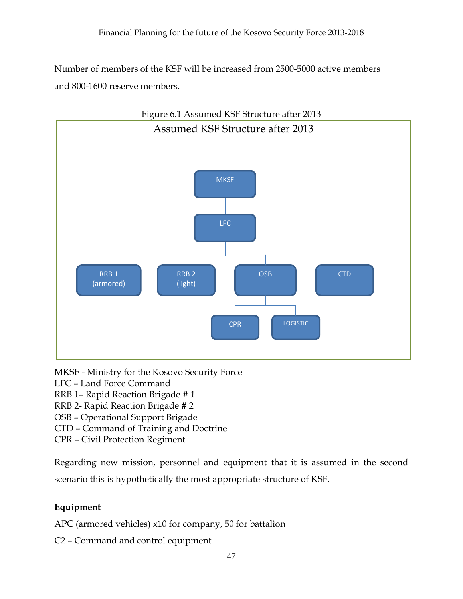Number of members of the KSF will be increased from 2500-5000 active members and 800-1600 reserve members.



MKSF - Ministry for the Kosovo Security Force

LFC – Land Force Command

- RRB 1– Rapid Reaction Brigade # 1
- RRB 2- Rapid Reaction Brigade # 2

OSB – Operational Support Brigade

CTD – Command of Training and Doctrine

CPR – Civil Protection Regiment

Regarding new mission, personnel and equipment that it is assumed in the second scenario this is hypothetically the most appropriate structure of KSF.

# **Equipment**

APC (armored vehicles) x10 for company, 50 for battalion

C2 – Command and control equipment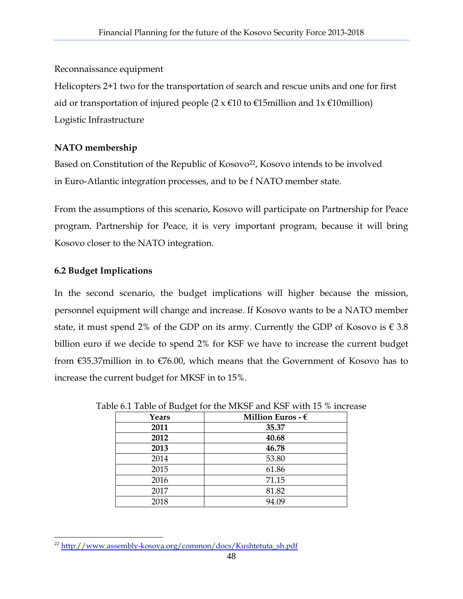#### Reconnaissance equipment

Helicopters 2+1 two for the transportation of search and rescue units and one for first aid or transportation of injured people  $(2 \times \epsilon)$  to  $\epsilon$ 15million and 1x  $\epsilon$ 10million) Logistic Infrastructure

#### **NATO membership**

Based on Constitution of the Republic of Kosovo<sup>22</sup>, Kosovo intends to be involved in Euro-Atlantic integration processes, and to be f NATO member state.

From the assumptions of this scenario, Kosovo will participate on Partnership for Peace program. Partnership for Peace, it is very important program, because it will bring Kosovo closer to the NATO integration.

# **6.2 Budget Implications**

In the second scenario, the budget implications will higher because the mission, personnel equipment will change and increase. If Kosovo wants to be a NATO member state, it must spend 2% of the GDP on its army. Currently the GDP of Kosovo is  $\epsilon$  3.8 billion euro if we decide to spend 2% for KSF we have to increase the current budget from €35.37million in to €76.00, which means that the Government of Kosovo has to increase the current budget for MKSF in to 15%.

| Years | Million Euros - $\epsilon$ |  |  |
|-------|----------------------------|--|--|
| 2011  | 35.37                      |  |  |
| 2012  | 40.68                      |  |  |
| 2013  | 46.78                      |  |  |
| 2014  | 53.80                      |  |  |
| 2015  | 61.86                      |  |  |
| 2016  | 71.15                      |  |  |
| 2017  | 81.82                      |  |  |
| 2018  | 94.09                      |  |  |

Table 6.1 Table of Budget for the MKSF and KSF with 15 % increase

 $\overline{a}$ <sup>22</sup> http://www.assembly-kosova.org/common/docs/Kushtetuta\_sh.pdf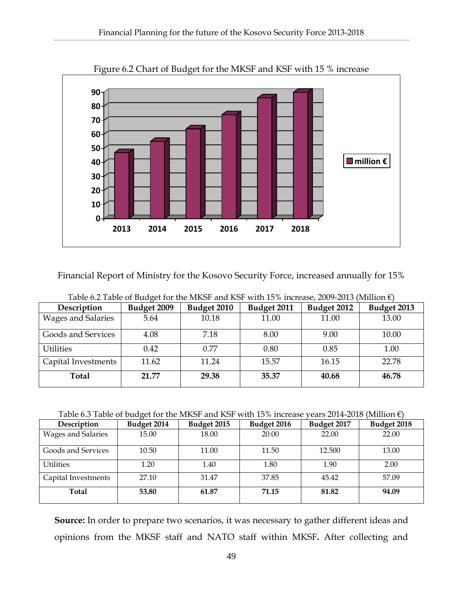

Figure 6.2 Chart of Budget for the MKSF and KSF with 15 % increase

Financial Report of Ministry for the Kosovo Security Force, increased annually for 15%

| Description         | Budget 2009 | Budget 2010 | Budget 2011 | Budget 2012 | Budget 2013 |
|---------------------|-------------|-------------|-------------|-------------|-------------|
| Wages and Salaries  | 5.64        | 10.18       | 11.00       | 11.00       | 13.00       |
| Goods and Services  | 4.08        | 7.18        | 8.00        | 9.00        | 10.00       |
| <b>Utilities</b>    | 0.42        | 0.77        | 0.80        | 0.85        | 1.00        |
| Capital Investments | 11.62       | 11.24       | 15.57       | 16.15       | 22.78       |
| Total               | 21.77       | 29.38       | 35.37       | 40.68       | 46.78       |

Table 6.2 Table of Budget for the MKSF and KSF with 15% increase, 2009-2013 (Million  $\epsilon$ )

Table 6.3 Table of budget for the MKSF and KSF with 15% increase years 2014-2018 (Million  $\epsilon$ )

| Description         | Budget 2014 | Budget 2015 | Budget 2016 | Budget 2017 | Budget 2018 |
|---------------------|-------------|-------------|-------------|-------------|-------------|
| Wages and Salaries  | 15.00       | 18.00       | 20.00       | 22.00       | 22.00       |
| Goods and Services  | 10.50       | 11.00       | 11.50       | 12.500      | 13.00       |
| <b>Utilities</b>    | 1.20        | 1.40        | 1.80        | 1.90        | 2.00        |
| Capital Investments | 27.10       | 31.47       | 37.85       | 45.42       | 57.09       |
| Total               | 53.80       | 61.87       | 71.15       | 81.82       | 94.09       |

**Source:** In order to prepare two scenarios, it was necessary to gather different ideas and opinions from the MKSF staff and NATO staff within MKSF**.** After collecting and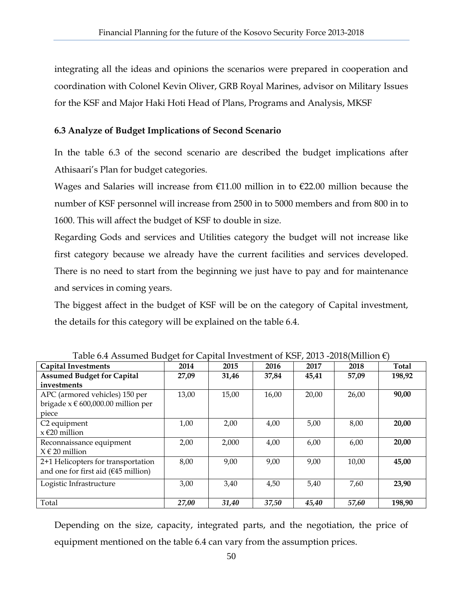integrating all the ideas and opinions the scenarios were prepared in cooperation and coordination with Colonel Kevin Oliver, GRB Royal Marines, advisor on Military Issues for the KSF and Major Haki Hoti Head of Plans, Programs and Analysis, MKSF

#### **6.3 Analyze of Budget Implications of Second Scenario**

In the table 6.3 of the second scenario are described the budget implications after Athisaari's Plan for budget categories.

Wages and Salaries will increase from  $E11.00$  million in to  $E22.00$  million because the number of KSF personnel will increase from 2500 in to 5000 members and from 800 in to 1600. This will affect the budget of KSF to double in size.

Regarding Gods and services and Utilities category the budget will not increase like first category because we already have the current facilities and services developed. There is no need to start from the beginning we just have to pay and for maintenance and services in coming years.

The biggest affect in the budget of KSF will be on the category of Capital investment, the details for this category will be explained on the table 6.4.

| <b>Capital Investments</b>             | 2014  | 2015  | 2016  | 2017  | 2018  | <b>Total</b> |
|----------------------------------------|-------|-------|-------|-------|-------|--------------|
| <b>Assumed Budget for Capital</b>      | 27,09 | 31,46 | 37,84 | 45,41 | 57,09 | 198,92       |
| investments                            |       |       |       |       |       |              |
| APC (armored vehicles) 150 per         | 13,00 | 15,00 | 16,00 | 20,00 | 26,00 | 90,00        |
| brigade $x \in 600,000.00$ million per |       |       |       |       |       |              |
| piece                                  |       |       |       |       |       |              |
| C <sub>2</sub> equipment               | 1,00  | 2,00  | 4,00  | 5,00  | 8,00  | 20,00        |
| $x \in 20$ million                     |       |       |       |       |       |              |
| Reconnaissance equipment               | 2,00  | 2,000 | 4,00  | 6,00  | 6,00  | 20,00        |
| $X \in 20$ million                     |       |       |       |       |       |              |
| 2+1 Helicopters for transportation     | 8,00  | 9,00  | 9,00  | 9,00  | 10,00 | 45,00        |
| and one for first aid $(645$ million)  |       |       |       |       |       |              |
| Logistic Infrastructure                | 3,00  | 3,40  | 4,50  | 5,40  | 7,60  | 23,90        |
|                                        |       |       |       |       |       |              |
| Total                                  | 27,00 | 31,40 | 37,50 | 45,40 | 57,60 | 198,90       |

Table 6.4 Assumed Budget for Capital Investment of KSF, 2013 -2018(Million  $\epsilon$ )

Depending on the size, capacity, integrated parts, and the negotiation, the price of equipment mentioned on the table 6.4 can vary from the assumption prices.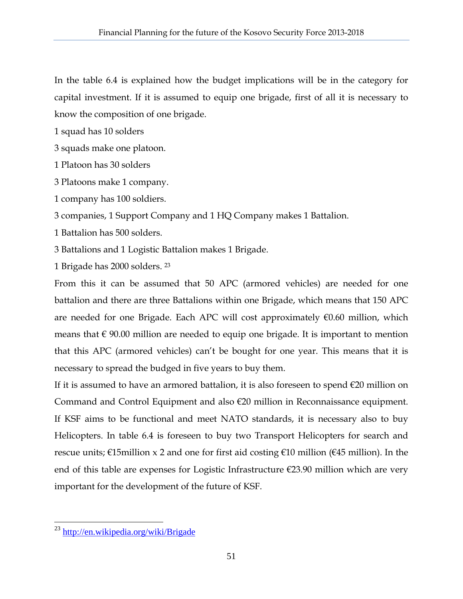In the table 6.4 is explained how the budget implications will be in the category for capital investment. If it is assumed to equip one brigade, first of all it is necessary to know the composition of one brigade.

1 squad has 10 solders

- 3 squads make one platoon.
- 1 Platoon has 30 solders
- 3 Platoons make 1 company.
- 1 company has 100 soldiers.

3 companies, 1 Support Company and 1 HQ Company makes 1 Battalion.

- 1 Battalion has 500 solders.
- 3 Battalions and 1 Logistic Battalion makes 1 Brigade.
- 1 Brigade has 2000 solders. 23

From this it can be assumed that 50 APC (armored vehicles) are needed for one battalion and there are three Battalions within one Brigade, which means that 150 APC are needed for one Brigade. Each APC will cost approximately  $\epsilon$ 0.60 million, which means that  $\epsilon$  90.00 million are needed to equip one brigade. It is important to mention that this APC (armored vehicles) can't be bought for one year. This means that it is necessary to spread the budged in five years to buy them.

If it is assumed to have an armored battalion, it is also foreseen to spend  $\epsilon$ 20 million on Command and Control Equipment and also €20 million in Reconnaissance equipment. If KSF aims to be functional and meet NATO standards, it is necessary also to buy Helicopters. In table 6.4 is foreseen to buy two Transport Helicopters for search and rescue units;  $\epsilon$ 15million x 2 and one for first aid costing  $\epsilon$ 10 million ( $\epsilon$ 45 million). In the end of this table are expenses for Logistic Infrastructure €23.90 million which are very important for the development of the future of KSF.

<sup>&</sup>lt;sup>23</sup> http://en.wikipedia.org/wiki/Brigade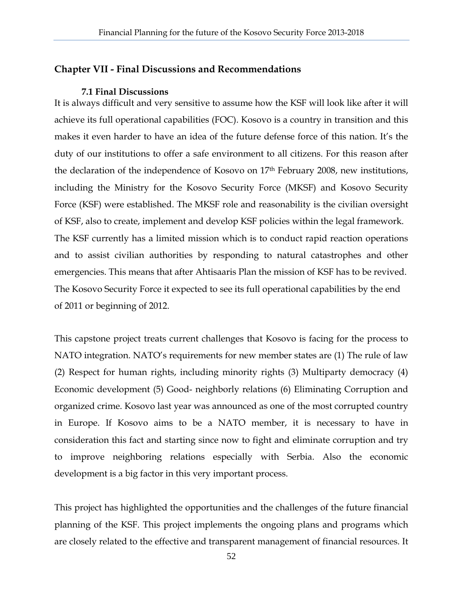#### **Chapter VII - Final Discussions and Recommendations**

#### **7.1 Final Discussions**

It is always difficult and very sensitive to assume how the KSF will look like after it will achieve its full operational capabilities (FOC). Kosovo is a country in transition and this makes it even harder to have an idea of the future defense force of this nation. It's the duty of our institutions to offer a safe environment to all citizens. For this reason after the declaration of the independence of Kosovo on 17th February 2008, new institutions, including the Ministry for the Kosovo Security Force (MKSF) and Kosovo Security Force (KSF) were established. The MKSF role and reasonability is the civilian oversight of KSF, also to create, implement and develop KSF policies within the legal framework. The KSF currently has a limited mission which is to conduct rapid reaction operations and to assist civilian authorities by responding to natural catastrophes and other emergencies. This means that after Ahtisaaris Plan the mission of KSF has to be revived. The Kosovo Security Force it expected to see its full operational capabilities by the end of 2011 or beginning of 2012.

This capstone project treats current challenges that Kosovo is facing for the process to NATO integration. NATO's requirements for new member states are (1) The rule of law (2) Respect for human rights, including minority rights (3) Multiparty democracy (4) Economic development (5) Good- neighborly relations (6) Eliminating Corruption and organized crime. Kosovo last year was announced as one of the most corrupted country in Europe. If Kosovo aims to be a NATO member, it is necessary to have in consideration this fact and starting since now to fight and eliminate corruption and try to improve neighboring relations especially with Serbia. Also the economic development is a big factor in this very important process.

This project has highlighted the opportunities and the challenges of the future financial planning of the KSF. This project implements the ongoing plans and programs which are closely related to the effective and transparent management of financial resources. It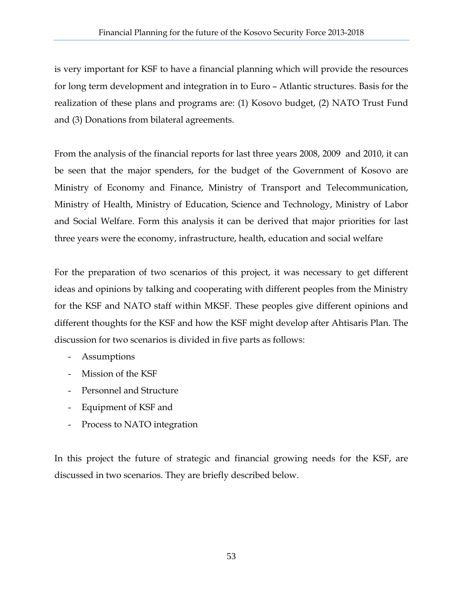is very important for KSF to have a financial planning which will provide the resources for long term development and integration in to Euro – Atlantic structures. Basis for the realization of these plans and programs are: (1) Kosovo budget, (2) NATO Trust Fund and (3) Donations from bilateral agreements.

From the analysis of the financial reports for last three years 2008, 2009 and 2010, it can be seen that the major spenders, for the budget of the Government of Kosovo are Ministry of Economy and Finance, Ministry of Transport and Telecommunication, Ministry of Health, Ministry of Education, Science and Technology, Ministry of Labor and Social Welfare. Form this analysis it can be derived that major priorities for last three years were the economy, infrastructure, health, education and social welfare

For the preparation of two scenarios of this project, it was necessary to get different ideas and opinions by talking and cooperating with different peoples from the Ministry for the KSF and NATO staff within MKSF. These peoples give different opinions and different thoughts for the KSF and how the KSF might develop after Ahtisaris Plan. The discussion for two scenarios is divided in five parts as follows:

- Assumptions
- Mission of the KSF
- Personnel and Structure
- Equipment of KSF and
- Process to NATO integration

In this project the future of strategic and financial growing needs for the KSF, are discussed in two scenarios. They are briefly described below.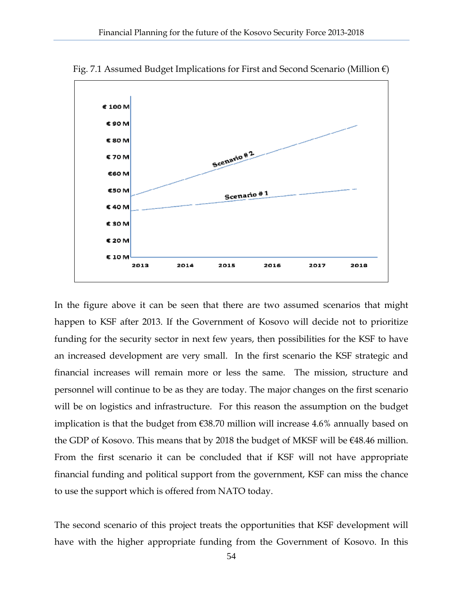

Fig. 7.1 Assumed Budget Implications for First and Second Scenario (Million  $\epsilon$ )

In the figure above it can be seen that there are two assumed scenarios that might happen to KSF after 2013. If the Government of Kosovo will decide not to prioritize funding for the security sector in next few years, then possibilities for the KSF to have an increased development are very small. In the first scenario the KSF strategic and financial increases will remain more or less the same. The mission, structure and personnel will continue to be as they are today. The major changes on the first scenario will be on logistics and infrastructure. For this reason the assumption on the budget implication is that the budget from €38.70 million will increase 4.6% annually based on the GDP of Kosovo. This means that by 2018 the budget of MKSF will be  $€48.46$  million. From the first scenario it can be concluded that if KSF will not have appropriate financial funding and political support from the government, KSF can miss the chance to use the support which is offered from NATO today.

The second scenario of this project treats the opportunities that KSF development will have with the higher appropriate funding from the Government of Kosovo. In this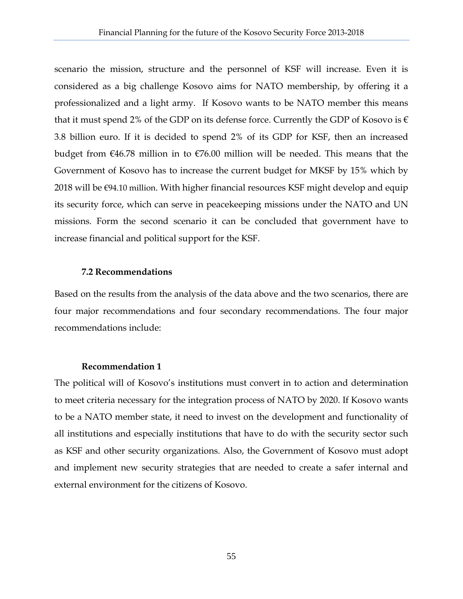scenario the mission, structure and the personnel of KSF will increase. Even it is considered as a big challenge Kosovo aims for NATO membership, by offering it a professionalized and a light army. If Kosovo wants to be NATO member this means that it must spend 2% of the GDP on its defense force. Currently the GDP of Kosovo is  $\epsilon$ 3.8 billion euro. If it is decided to spend 2% of its GDP for KSF, then an increased budget from  $\epsilon$ 46.78 million in to  $\epsilon$ 76.00 million will be needed. This means that the Government of Kosovo has to increase the current budget for MKSF by 15% which by 2018 will be €94.10 million. With higher financial resources KSF might develop and equip its security force, which can serve in peacekeeping missions under the NATO and UN missions. Form the second scenario it can be concluded that government have to increase financial and political support for the KSF.

#### **7.2 Recommendations**

Based on the results from the analysis of the data above and the two scenarios, there are four major recommendations and four secondary recommendations. The four major recommendations include:

#### **Recommendation 1**

The political will of Kosovo's institutions must convert in to action and determination to meet criteria necessary for the integration process of NATO by 2020. If Kosovo wants to be a NATO member state, it need to invest on the development and functionality of all institutions and especially institutions that have to do with the security sector such as KSF and other security organizations. Also, the Government of Kosovo must adopt and implement new security strategies that are needed to create a safer internal and external environment for the citizens of Kosovo.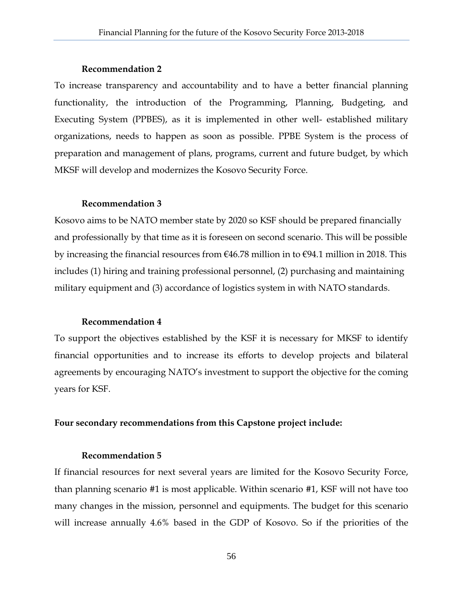#### **Recommendation 2**

To increase transparency and accountability and to have a better financial planning functionality, the introduction of the Programming, Planning, Budgeting, and Executing System (PPBES), as it is implemented in other well- established military organizations, needs to happen as soon as possible. PPBE System is the process of preparation and management of plans, programs, current and future budget, by which MKSF will develop and modernizes the Kosovo Security Force.

#### **Recommendation 3**

Kosovo aims to be NATO member state by 2020 so KSF should be prepared financially and professionally by that time as it is foreseen on second scenario. This will be possible by increasing the financial resources from €46.78 million in to €94.1 million in 2018. This includes (1) hiring and training professional personnel, (2) purchasing and maintaining military equipment and (3) accordance of logistics system in with NATO standards.

#### **Recommendation 4**

To support the objectives established by the KSF it is necessary for MKSF to identify financial opportunities and to increase its efforts to develop projects and bilateral agreements by encouraging NATO's investment to support the objective for the coming years for KSF.

#### **Four secondary recommendations from this Capstone project include:**

#### **Recommendation 5**

If financial resources for next several years are limited for the Kosovo Security Force, than planning scenario #1 is most applicable. Within scenario #1, KSF will not have too many changes in the mission, personnel and equipments. The budget for this scenario will increase annually 4.6% based in the GDP of Kosovo. So if the priorities of the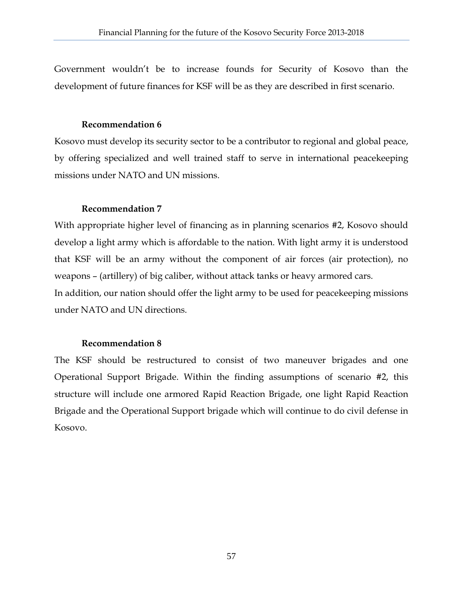Government wouldn't be to increase founds for Security of Kosovo than the development of future finances for KSF will be as they are described in first scenario.

#### **Recommendation 6**

Kosovo must develop its security sector to be a contributor to regional and global peace, by offering specialized and well trained staff to serve in international peacekeeping missions under NATO and UN missions.

#### **Recommendation 7**

With appropriate higher level of financing as in planning scenarios #2, Kosovo should develop a light army which is affordable to the nation. With light army it is understood that KSF will be an army without the component of air forces (air protection), no weapons – (artillery) of big caliber, without attack tanks or heavy armored cars. In addition, our nation should offer the light army to be used for peacekeeping missions

under NATO and UN directions.

#### **Recommendation 8**

The KSF should be restructured to consist of two maneuver brigades and one Operational Support Brigade. Within the finding assumptions of scenario #2, this structure will include one armored Rapid Reaction Brigade, one light Rapid Reaction Brigade and the Operational Support brigade which will continue to do civil defense in Kosovo.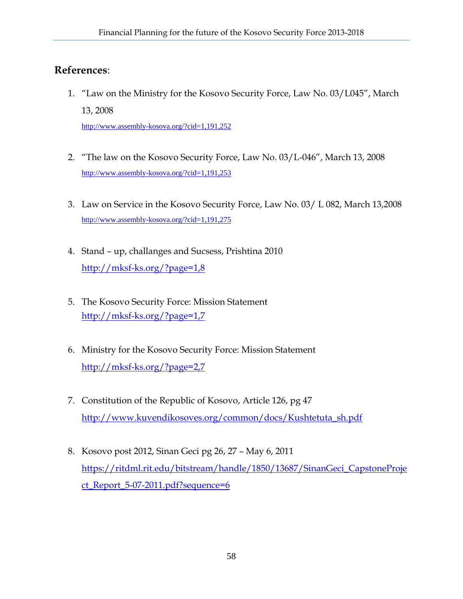# **References**:

1. "Law on the Ministry for the Kosovo Security Force, Law No. 03/L045", March 13, 2008

http://www.assembly-kosova.org/?cid=1,191,252

- 2. "The law on the Kosovo Security Force, Law No. 03/L-046", March 13, 2008 http://www.assembly-kosova.org/?cid=1,191,253
- 3. Law on Service in the Kosovo Security Force, Law No. 03/ L 082, March 13,2008 http://www.assembly-kosova.org/?cid=1,191,275
- 4. Stand up, challanges and Sucsess, Prishtina 2010 http://mksf-ks.org/?page=1,8
- 5. The Kosovo Security Force: Mission Statement http://mksf-ks.org/?page=1,7
- 6. Ministry for the Kosovo Security Force: Mission Statement http://mksf-ks.org/?page=2,7
- 7. Constitution of the Republic of Kosovo, Article 126, pg 47 http://www.kuvendikosoves.org/common/docs/Kushtetuta\_sh.pdf
- 8. Kosovo post 2012, Sinan Geci pg 26, 27 May 6, 2011 https://ritdml.rit.edu/bitstream/handle/1850/13687/SinanGeci\_CapstoneProje ct\_Report\_5-07-2011.pdf?sequence=6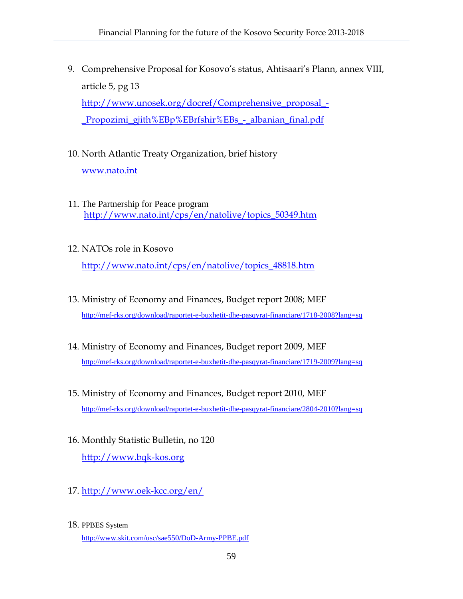- 9. Comprehensive Proposal for Kosovo's status, Ahtisaari's Plann, annex VIII, article 5, pg 13 http://www.unosek.org/docref/Comprehensive\_proposal\_- \_Propozimi\_gjith%EBp%EBrfshir%EBs\_-\_albanian\_final.pdf
- 10. North Atlantic Treaty Organization, brief history www.nato.int
- 11. The Partnership for Peace program http://www.nato.int/cps/en/natolive/topics\_50349.htm
- 12. NATOs role in Kosovo http://www.nato.int/cps/en/natolive/topics\_48818.htm
- 13. Ministry of Economy and Finances, Budget report 2008; MEF http://mef-rks.org/download/raportet-e-buxhetit-dhe-pasqyrat-financiare/1718-2008?lang=sq
- 14. Ministry of Economy and Finances, Budget report 2009, MEF http://mef-rks.org/download/raportet-e-buxhetit-dhe-pasqyrat-financiare/1719-2009?lang=sq
- 15. Ministry of Economy and Finances, Budget report 2010, MEF http://mef-rks.org/download/raportet-e-buxhetit-dhe-pasqyrat-financiare/2804-2010?lang=sq
- 16. Monthly Statistic Bulletin, no 120 http://www.bqk-kos.org
- 17. http://www.oek-kcc.org/en/
- 18. PPBES System http://www.skit.com/usc/sae550/DoD-Army-PPBE.pdf